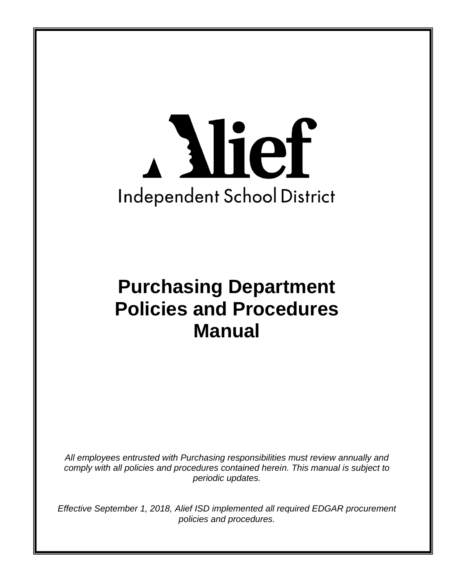# A Mief **Independent School District**

# **Purchasing Department Policies and Procedures Manual**

*All employees entrusted with Purchasing responsibilities must review annually and comply with all policies and procedures contained herein. This manual is subject to periodic updates.*

*Effective September 1, 2018, Alief ISD implemented all required EDGAR procurement policies and procedures.*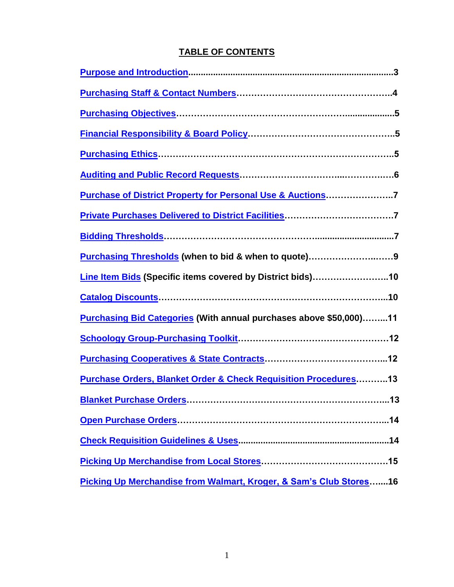# **TABLE OF CONTENTS**

<span id="page-1-0"></span>

| Purchase of District Property for Personal Use & Auctions7                |
|---------------------------------------------------------------------------|
|                                                                           |
|                                                                           |
|                                                                           |
| Line Item Bids (Specific items covered by District bids)10                |
|                                                                           |
| <b>Purchasing Bid Categories (With annual purchases above \$50,000)11</b> |
|                                                                           |
|                                                                           |
| Purchase Orders, Blanket Order & Check Requisition Procedures 13          |
|                                                                           |
|                                                                           |
|                                                                           |
|                                                                           |
| Picking Up Merchandise from Walmart, Kroger, & Sam's Club Stores16        |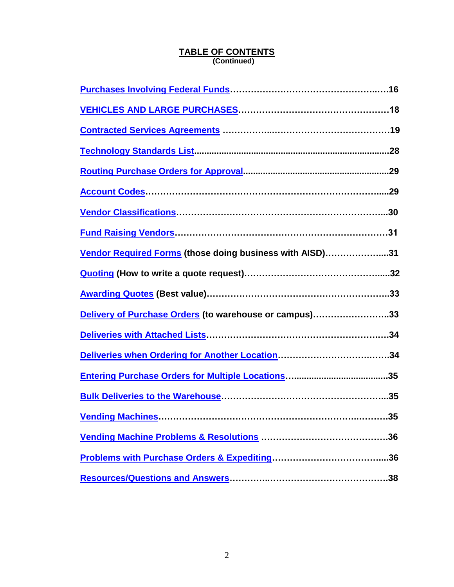## **TABLE OF CONTENTS (Continued)**

| Vendor Required Forms (those doing business with AISD)31 |    |
|----------------------------------------------------------|----|
|                                                          |    |
|                                                          |    |
| Delivery of Purchase Orders (to warehouse or campus)33   |    |
|                                                          |    |
|                                                          |    |
|                                                          |    |
|                                                          |    |
|                                                          | 35 |
|                                                          |    |
|                                                          |    |
|                                                          |    |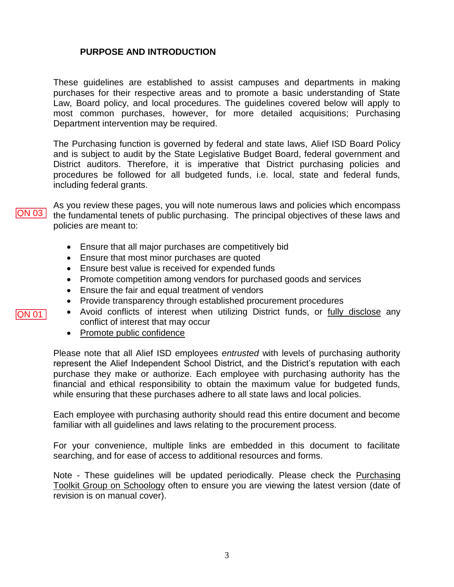# **PURPOSE AND INTRODUCTION**

These guidelines are established to assist campuses and departments in making purchases for their respective areas and to promote a basic understanding of State Law, Board policy, and local procedures. The guidelines covered below will apply to most common purchases, however, for more detailed acquisitions; Purchasing Department intervention may be required.

The Purchasing function is governed by federal and state laws, Alief ISD Board Policy and is subject to audit by the State Legislative Budget Board, federal government and District auditors. Therefore, it is imperative that District purchasing policies and procedures be followed for all budgeted funds, i.e. local, state and federal funds, including federal grants.

As you review these pages, you will note numerous laws and policies which encompass the fundamental tenets of public purchasing. The principal objectives of these laws and policies are meant to:

- Ensure that all major purchases are competitively bid
- Ensure that most minor purchases are quoted
- Ensure best value is received for expended funds
- Promote competition among vendors for purchased goods and services
- Ensure the fair and equal treatment of vendors
- Provide transparency through established procurement procedures
- Avoid conflicts of interest when utilizing District funds, or fully disclose any conflict of interest that may occur
- Promote public confidence

Please note that all Alief ISD employees *entrusted* with levels of purchasing authority represent the Alief Independent School District, and the District's reputation with each purchase they make or authorize. Each employee with purchasing authority has the financial and ethical responsibility to obtain the maximum value for budgeted funds, while ensuring that these purchases adhere to all state laws and local policies.

Each employee with purchasing authority should read this entire document and become familiar with all guidelines and laws relating to the procurement process.

For your convenience, multiple links are embedded in this document to facilitate searching, and for ease of access to additional resources and forms.

Note - These guidelines will be updated periodically. Please check the Purchasing Toolkit Group on Schoology often to ensure you are viewing the latest version (date of revision is on manual cover).

QN 03<br>-<br>QN 01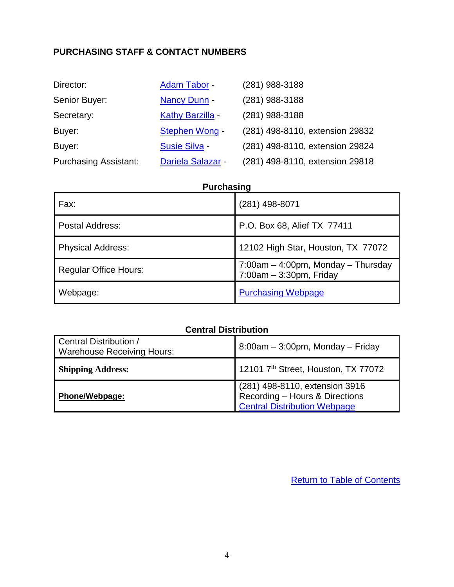# <span id="page-4-0"></span>**PURCHASING STAFF & CONTACT NUMBERS**

| Director:                    | <b>Adam Tabor -</b>      | (281) 988-3188                  |
|------------------------------|--------------------------|---------------------------------|
| Senior Buyer:                | Nancy Dunn -             | (281) 988-3188                  |
| Secretary:                   | Kathy Barzilla -         | (281) 988-3188                  |
| Buyer:                       | Stephen Wong -           | (281) 498-8110, extension 29832 |
| Buyer:                       | <b>Susie Silva -</b>     | (281) 498-8110, extension 29824 |
| <b>Purchasing Assistant:</b> | <b>Dariela Salazar</b> - | (281) 498-8110, extension 29818 |

# **Purchasing**

| Fax:                         | (281) 498-8071                                                   |
|------------------------------|------------------------------------------------------------------|
| Postal Address:              | P.O. Box 68, Alief TX 77411                                      |
| <b>Physical Address:</b>     | 12102 High Star, Houston, TX 77072                               |
| <b>Regular Office Hours:</b> | 7:00am - 4:00pm, Monday - Thursday<br>$7:00am - 3:30pm$ , Friday |
| Webpage:                     | <b>Purchasing Webpage</b>                                        |

# **Central Distribution**

<span id="page-4-1"></span>

| Central Distribution /<br><b>Warehouse Receiving Hours:</b> | $8:00$ am – $3:00$ pm, Monday – Friday                                                                    |
|-------------------------------------------------------------|-----------------------------------------------------------------------------------------------------------|
| <b>Shipping Address:</b>                                    | 12101 7 <sup>th</sup> Street, Houston, TX 77072                                                           |
| <b>Phone/Webpage:</b>                                       | (281) 498-8110, extension 3916<br>  Recording – Hours & Directions<br><b>Central Distribution Webpage</b> |

**[Return to Table of Contents](#page-1-0)**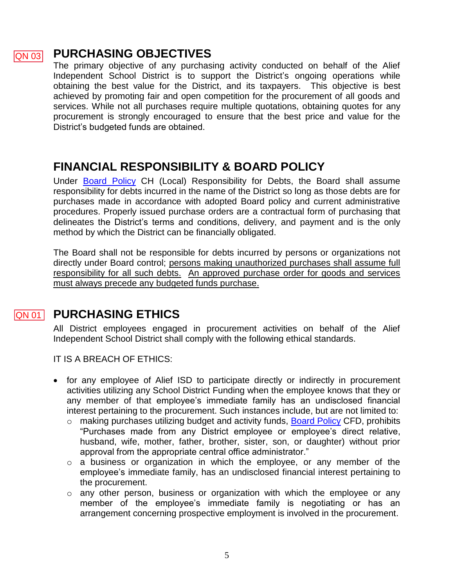### **PURCHASING OBJECTIVES**  QN 03

The primary objective of any purchasing activity conducted on behalf of the Alief Independent School District is to support the District's ongoing operations while obtaining the best value for the District, and its taxpayers. This objective is best achieved by promoting fair and open competition for the procurement of all goods and services. While not all purchases require multiple quotations, obtaining quotes for any procurement is strongly encouraged to ensure that the best price and value for the District's budgeted funds are obtained.

# <span id="page-5-0"></span>**FINANCIAL RESPONSIBILITY & BOARD POLICY**

Under [Board Policy](http://pol.tasb.org/Policy/Download/584?filename=CH(LOCAL).pdf) CH (Local) Responsibility for Debts, the Board shall assume responsibility for debts incurred in the name of the District so long as those debts are for purchases made in accordance with adopted Board policy and current administrative procedures. Properly issued purchase orders are a contractual form of purchasing that delineates the District's terms and conditions, delivery, and payment and is the only method by which the District can be financially obligated.

The Board shall not be responsible for debts incurred by persons or organizations not directly under Board control; persons making unauthorized purchases shall assume full responsibility for all such debts. An approved purchase order for goods and services must always precede any budgeted funds purchase.

# $QN$  03 **PURCHASING ETHICS QN 01**

<span id="page-5-2"></span><span id="page-5-1"></span>All District employees engaged in procurement activities on behalf of the Alief Independent School District shall comply with the following ethical standards.

IT IS A BREACH OF ETHICS:

- for any employee of Alief ISD to participate directly or indirectly in procurement activities utilizing any School District Funding when the employee knows that they or any member of that employee's immediate family has an undisclosed financial interest pertaining to the procurement. Such instances include, but are not limited to:
	- o making purchases utilizing budget and activity funds, [Board Policy](http://pol.tasb.org/Policy/Download/584?filename=CFD(REGULATION).pdf) CFD, prohibits "Purchases made from any District employee or employee's direct relative, husband, wife, mother, father, brother, sister, son, or daughter) without prior approval from the appropriate central office administrator."
	- o a business or organization in which the employee, or any member of the employee's immediate family, has an undisclosed financial interest pertaining to the procurement.
	- $\circ$  any other person, business or organization with which the employee or any member of the employee's immediate family is negotiating or has an arrangement concerning prospective employment is involved in the procurement.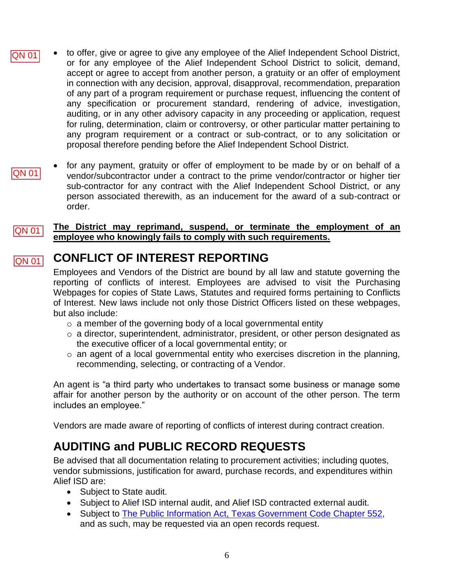- to offer, give or agree to give any employee of the Alief Independent School District, or for any employee of the Alief Independent School District to solicit, demand, accept or agree to accept from another person, a gratuity or an offer of employment in connection with any decision, approval, disapproval, recommendation, preparation of any part of a program requirement or purchase request, influencing the content of any specification or procurement standard, rendering of advice, investigation, auditing, or in any other advisory capacity in any proceeding or application, request for ruling, determination, claim or controversy, or other particular matter pertaining to any program requirement or a contract or sub-contract, or to any solicitation or proposal therefore pending before the Alief Independent School District. QN 01
	- for any payment, gratuity or offer of employment to be made by or on behalf of a vendor/subcontractor under a contract to the prime vendor/contractor or higher tier sub-contractor for any contract with the Alief Independent School District, or any person associated therewith, as an inducement for the award of a sub-contract or order.

### **The District may reprimand, suspend, or terminate the employment of an employee who knowingly fails to comply with such requirements.**   $|{\sf QN}\>$  01  $|$

### **CONFLICT OF INTEREST REPORTING** QN 01

QN 01

Employees and Vendors of the District are bound by all law and statute governing the reporting of conflicts of interest. Employees are advised to visit the Purchasing Webpages for copies of State Laws, Statutes and required forms pertaining to Conflicts of Interest. New laws include not only those District Officers listed on these webpages, but also include:

- $\circ$  a member of the governing body of a local governmental entity
- o a director, superintendent, administrator, president, or other person designated as the executive officer of a local governmental entity; or
- o an agent of a local governmental entity who exercises discretion in the planning, recommending, selecting, or contracting of a Vendor.

An agent is "a third party who undertakes to transact some business or manage some affair for another person by the authority or on account of the other person. The term includes an employee."

Vendors are made aware of reporting of conflicts of interest during contract creation.

# <span id="page-6-0"></span>**AUDITING and PUBLIC RECORD REQUESTS**

Be advised that all documentation relating to procurement activities; including quotes, vendor submissions, justification for award, purchase records, and expenditures within Alief ISD are:

- Subject to State audit.
- Subject to Alief ISD internal audit, and Alief ISD contracted external audit.
- Subject to [The Public Information Act, Texas Government](http://www.tsl.state.tx.us/agency/customer/pia.html) Code Chapter 552, and as such, may be requested via an open records request.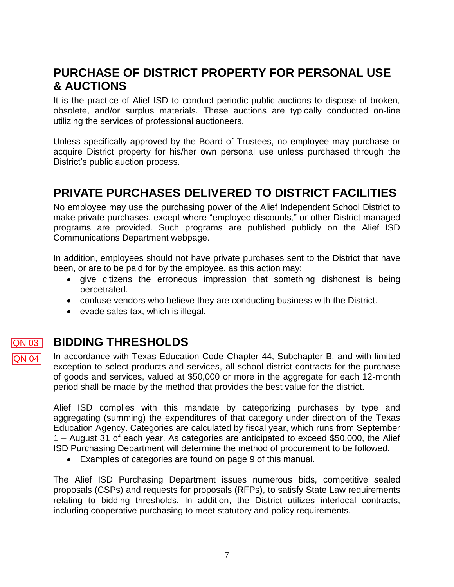# <span id="page-7-0"></span>**PURCHASE OF DISTRICT PROPERTY FOR PERSONAL USE & AUCTIONS**

It is the practice of Alief ISD to conduct periodic public auctions to dispose of broken, obsolete, and/or surplus materials. These auctions are typically conducted on-line utilizing the services of professional auctioneers.

Unless specifically approved by the Board of Trustees, no employee may purchase or acquire District property for his/her own personal use unless purchased through the District's public auction process.

# <span id="page-7-1"></span>**PRIVATE PURCHASES DELIVERED TO DISTRICT FACILITIES**

No employee may use the purchasing power of the Alief Independent School District to make private purchases, except where "employee discounts," or other District managed programs are provided. Such programs are published publicly on the Alief ISD Communications Department webpage.

In addition, employees should not have private purchases sent to the District that have been, or are to be paid for by the employee, as this action may:

- give citizens the erroneous impression that something dishonest is being perpetrated.
- confuse vendors who believe they are conducting business with the District.
- <span id="page-7-3"></span><span id="page-7-2"></span>evade sales tax, which is illegal.

### **BIDDING THRESHOLDS** QN 03

 $|QN 04|$ 

In accordance with Texas Education Code Chapter 44, Subchapter B, and with limited exception to select products and services, all school district contracts for the purchase of goods and services, valued at \$50,000 or more in the aggregate for each 12-month period shall be made by the method that provides the best value for the district.

Alief ISD complies with this mandate by categorizing purchases by type and aggregating (summing) the expenditures of that category under direction of the Texas Education Agency. Categories are calculated by fiscal year, which runs from September 1 – August 31 of each year. As categories are anticipated to exceed \$50,000, the Alief ISD Purchasing Department will determine the method of procurement to be followed.

Examples of categories are found on page 9 of this manual.

The Alief ISD Purchasing Department issues numerous bids, competitive sealed proposals (CSPs) and requests for proposals (RFPs), to satisfy State Law requirements relating to bidding thresholds. In addition, the District utilizes interlocal contracts, including cooperative purchasing to meet statutory and policy requirements.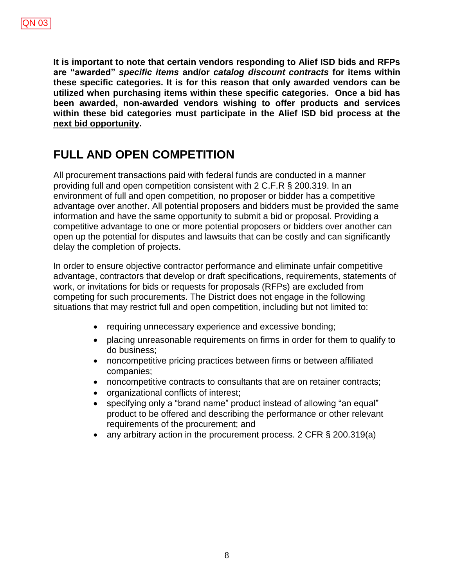**It is important to note that certain vendors responding to Alief ISD bids and RFPs are "awarded"** *specific items* **and/or** *catalog discount contracts* **for items within these specific categories. It is for this reason that only awarded vendors can be utilized when purchasing items within these specific categories. Once a bid has been awarded, non-awarded vendors wishing to offer products and services within these bid categories must participate in the Alief ISD bid process at the next bid opportunity.**

# **FULL AND OPEN COMPETITION**

All procurement transactions paid with federal funds are conducted in a manner providing full and open competition consistent with 2 C.F.R § 200.319. In an environment of full and open competition, no proposer or bidder has a competitive advantage over another. All potential proposers and bidders must be provided the same information and have the same opportunity to submit a bid or proposal. Providing a competitive advantage to one or more potential proposers or bidders over another can open up the potential for disputes and lawsuits that can be costly and can significantly delay the completion of projects.

In order to ensure objective contractor performance and eliminate unfair competitive advantage, contractors that develop or draft specifications, requirements, statements of work, or invitations for bids or requests for proposals (RFPs) are excluded from competing for such procurements. The District does not engage in the following situations that may restrict full and open competition, including but not limited to:

- requiring unnecessary experience and excessive bonding;
- placing unreasonable requirements on firms in order for them to qualify to do business;
- noncompetitive pricing practices between firms or between affiliated companies;
- noncompetitive contracts to consultants that are on retainer contracts;
- organizational conflicts of interest;
- specifying only a "brand name" product instead of allowing "an equal" product to be offered and describing the performance or other relevant requirements of the procurement; and
- any arbitrary action in the procurement process. 2 CFR § 200.319(a)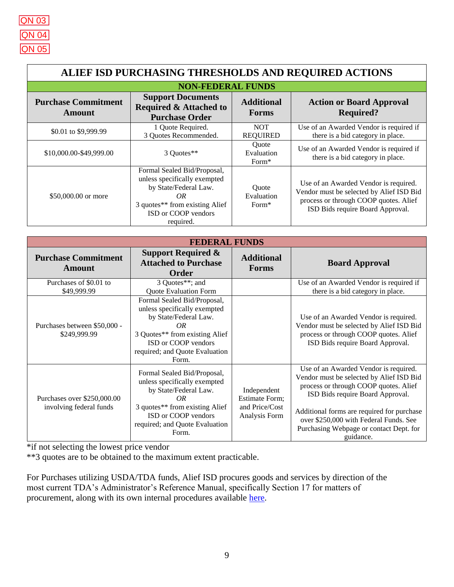<span id="page-9-0"></span>

| ALIEF ISD PURCHASING THRESHOLDS AND REQUIRED ACTIONS |                                                                                                                                                                  |                                          |                                                                                                                                                                |  |  |
|------------------------------------------------------|------------------------------------------------------------------------------------------------------------------------------------------------------------------|------------------------------------------|----------------------------------------------------------------------------------------------------------------------------------------------------------------|--|--|
| <b>NON-FEDERAL FUNDS</b>                             |                                                                                                                                                                  |                                          |                                                                                                                                                                |  |  |
| <b>Purchase Commitment</b><br>Amount                 | <b>Support Documents</b><br><b>Required &amp; Attached to</b><br><b>Purchase Order</b>                                                                           |                                          | <b>Action or Board Approval</b><br><b>Required?</b>                                                                                                            |  |  |
| \$0.01 to \$9,999.99                                 | 1 Quote Required.<br>3 Quotes Recommended.                                                                                                                       | <b>NOT</b><br><b>REQUIRED</b>            | Use of an Awarded Vendor is required if<br>there is a bid category in place.                                                                                   |  |  |
| \$10,000.00-\$49,999.00                              | 3 Ouotes**                                                                                                                                                       | Ouote<br>Evaluation<br>Form <sup>*</sup> | Use of an Awarded Vendor is required if<br>there is a bid category in place.                                                                                   |  |  |
| \$50,000.00 or more                                  | Formal Sealed Bid/Proposal,<br>unless specifically exempted<br>by State/Federal Law.<br>OR<br>3 quotes** from existing Alief<br>ISD or COOP vendors<br>required. | Quote<br>Evaluation<br>Form*             | Use of an Awarded Vendor is required.<br>Vendor must be selected by Alief ISD Bid<br>process or through COOP quotes. Alief<br>ISD Bids require Board Approval. |  |  |

| <b>FEDERAL FUNDS</b>                                   |                                                                                                                                                                                                 |                                                                         |                                                                                                                                                                                                                                                                                                                |  |
|--------------------------------------------------------|-------------------------------------------------------------------------------------------------------------------------------------------------------------------------------------------------|-------------------------------------------------------------------------|----------------------------------------------------------------------------------------------------------------------------------------------------------------------------------------------------------------------------------------------------------------------------------------------------------------|--|
| <b>Purchase Commitment</b><br><b>Amount</b>            | Support Required $\&$<br><b>Additional</b><br><b>Attached to Purchase</b><br><b>Forms</b><br><b>Order</b>                                                                                       |                                                                         | <b>Board Approval</b>                                                                                                                                                                                                                                                                                          |  |
| Purchases of \$0.01 to<br>\$49,999.99                  | 3 Quotes**; and<br><b>Quote Evaluation Form</b>                                                                                                                                                 |                                                                         | Use of an Awarded Vendor is required if<br>there is a bid category in place.                                                                                                                                                                                                                                   |  |
| Purchases between \$50,000 -<br>\$249,999.99           | Formal Sealed Bid/Proposal,<br>unless specifically exempted<br>by State/Federal Law.<br>OR<br>3 Quotes** from existing Alief<br>ISD or COOP vendors<br>required; and Quote Evaluation<br>Form.  |                                                                         | Use of an Awarded Vendor is required.<br>Vendor must be selected by Alief ISD Bid<br>process or through COOP quotes. Alief<br>ISD Bids require Board Approval.                                                                                                                                                 |  |
| Purchases over \$250,000.00<br>involving federal funds | Formal Sealed Bid/Proposal,<br>unless specifically exempted<br>by State/Federal Law.<br>OR.<br>3 quotes** from existing Alief<br>ISD or COOP vendors<br>required; and Quote Evaluation<br>Form. | Independent<br><b>Estimate Form;</b><br>and Price/Cost<br>Analysis Form | Use of an Awarded Vendor is required.<br>Vendor must be selected by Alief ISD Bid<br>process or through COOP quotes. Alief<br>ISD Bids require Board Approval.<br>Additional forms are required for purchase<br>over \$250,000 with Federal Funds. See<br>Purchasing Webpage or contact Dept. for<br>guidance. |  |

\*if not selecting the lowest price vendor

\*\*3 quotes are to be obtained to the maximum extent practicable.

For Purchases utilizing USDA/TDA funds, Alief ISD procures goods and services by direction of the most current TDA's Administrator's Reference Manual, specifically Section 17 for matters of procurement, along with its own internal procedures available [here.](http://www.squaremeals.org/Portals/8/files/ARM/ARM_CompleteARM_V101_190610.pdf)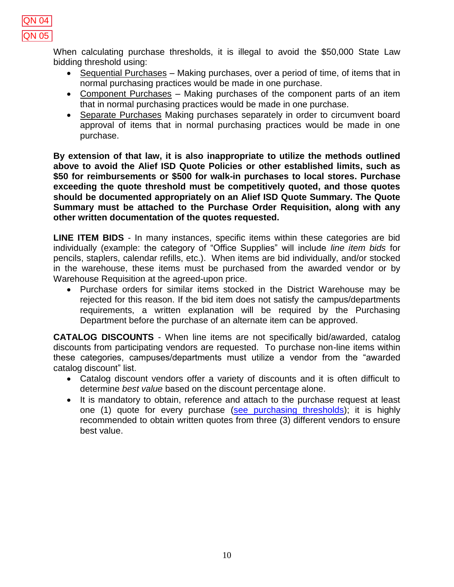

When calculating purchase thresholds, it is illegal to avoid the \$50,000 State Law bidding threshold using:

- Sequential Purchases Making purchases, over a period of time, of items that in normal purchasing practices would be made in one purchase.
- Component Purchases Making purchases of the component parts of an item that in normal purchasing practices would be made in one purchase.
- Separate Purchases Making purchases separately in order to circumvent board approval of items that in normal purchasing practices would be made in one purchase.

**By extension of that law, it is also inappropriate to utilize the methods outlined above to avoid the Alief ISD Quote Policies or other established limits, such as \$50 for reimbursements or \$500 for walk-in purchases to local stores. Purchase exceeding the quote threshold must be competitively quoted, and those quotes should be documented appropriately on an Alief ISD Quote Summary. The Quote Summary must be attached to the Purchase Order Requisition, along with any other written documentation of the quotes requested.** 

<span id="page-10-0"></span>**LINE ITEM BIDS** - In many instances, specific items within these categories are bid individually (example: the category of "Office Supplies" will include *line item bids* for pencils, staplers, calendar refills, etc.). When items are bid individually, and/or stocked in the warehouse, these items must be purchased from the awarded vendor or by Warehouse Requisition at the agreed-upon price.

 Purchase orders for similar items stocked in the District Warehouse may be rejected for this reason. If the bid item does not satisfy the campus/departments requirements, a written explanation will be required by the Purchasing Department before the purchase of an alternate item can be approved.

<span id="page-10-1"></span>**CATALOG DISCOUNTS** - When line items are not specifically bid/awarded, catalog discounts from participating vendors are requested. To purchase non-line items within these categories, campuses/departments must utilize a vendor from the "awarded catalog discount" list.

- Catalog discount vendors offer a variety of discounts and it is often difficult to determine *best value* based on the discount percentage alone.
- It is mandatory to obtain, reference and attach to the purchase request at least one (1) quote for every purchase [\(see purchasing thresholds\)](#page-9-0); it is highly recommended to obtain written quotes from three (3) different vendors to ensure best value.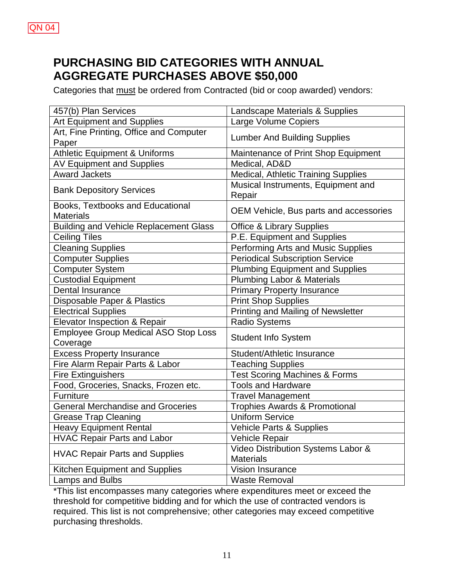# <span id="page-11-0"></span>**PURCHASING BID CATEGORIES WITH ANNUAL AGGREGATE PURCHASES ABOVE \$50,000**

Categories that must be ordered from Contracted (bid or coop awarded) vendors:

| 457(b) Plan Services                          | Landscape Materials & Supplies               |
|-----------------------------------------------|----------------------------------------------|
| <b>Art Equipment and Supplies</b>             | Large Volume Copiers                         |
| Art, Fine Printing, Office and Computer       | <b>Lumber And Building Supplies</b>          |
| Paper                                         |                                              |
| <b>Athletic Equipment &amp; Uniforms</b>      | Maintenance of Print Shop Equipment          |
| <b>AV Equipment and Supplies</b>              | Medical, AD&D                                |
| <b>Award Jackets</b>                          | Medical, Athletic Training Supplies          |
| <b>Bank Depository Services</b>               | Musical Instruments, Equipment and<br>Repair |
| <b>Books, Textbooks and Educational</b>       |                                              |
| <b>Materials</b>                              | OEM Vehicle, Bus parts and accessories       |
| <b>Building and Vehicle Replacement Glass</b> | <b>Office &amp; Library Supplies</b>         |
| <b>Ceiling Tiles</b>                          | P.E. Equipment and Supplies                  |
| <b>Cleaning Supplies</b>                      | Performing Arts and Music Supplies           |
| <b>Computer Supplies</b>                      | <b>Periodical Subscription Service</b>       |
| <b>Computer System</b>                        | <b>Plumbing Equipment and Supplies</b>       |
| <b>Custodial Equipment</b>                    | <b>Plumbing Labor &amp; Materials</b>        |
| <b>Dental Insurance</b>                       | <b>Primary Property Insurance</b>            |
| Disposable Paper & Plastics                   | <b>Print Shop Supplies</b>                   |
| <b>Electrical Supplies</b>                    | Printing and Mailing of Newsletter           |
| Elevator Inspection & Repair                  | <b>Radio Systems</b>                         |
| Employee Group Medical ASO Stop Loss          | <b>Student Info System</b>                   |
| Coverage                                      |                                              |
| <b>Excess Property Insurance</b>              | Student/Athletic Insurance                   |
| Fire Alarm Repair Parts & Labor               | <b>Teaching Supplies</b>                     |
| <b>Fire Extinguishers</b>                     | <b>Test Scoring Machines &amp; Forms</b>     |
| Food, Groceries, Snacks, Frozen etc.          | <b>Tools and Hardware</b>                    |
| Furniture                                     | <b>Travel Management</b>                     |
| <b>General Merchandise and Groceries</b>      | <b>Trophies Awards &amp; Promotional</b>     |
| <b>Grease Trap Cleaning</b>                   | <b>Uniform Service</b>                       |
| <b>Heavy Equipment Rental</b>                 | Vehicle Parts & Supplies                     |
| <b>HVAC Repair Parts and Labor</b>            | Vehicle Repair                               |
| <b>HVAC Repair Parts and Supplies</b>         | Video Distribution Systems Labor &           |
|                                               | <b>Materials</b>                             |
| Kitchen Equipment and Supplies                | Vision Insurance                             |
| Lamps and Bulbs                               | <b>Waste Removal</b>                         |

\*This list encompasses many categories where expenditures meet or exceed the threshold for competitive bidding and for which the use of contracted vendors is required. This list is not comprehensive; other categories may exceed competitive purchasing thresholds.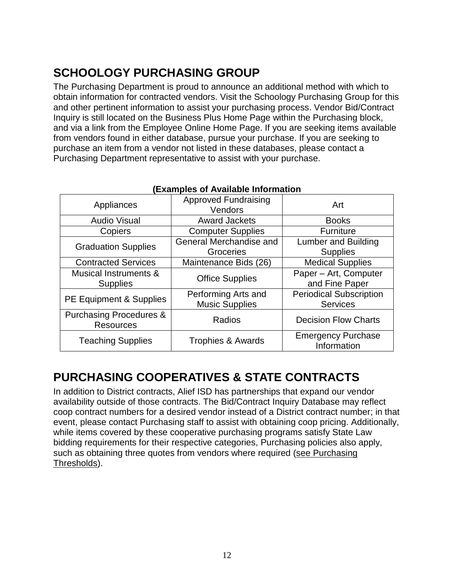# <span id="page-12-0"></span>**SCHOOLOGY PURCHASING GROUP**

The Purchasing Department is proud to announce an additional method with which to obtain information for contracted vendors. Visit the Schoology Purchasing Group for this and other pertinent information to assist your purchasing process. Vendor Bid/Contract Inquiry is still located on the Business Plus Home Page within the Purchasing block, and via a link from the Employee Online Home Page. If you are seeking items available from vendors found in either database, pursue your purchase. If you are seeking to purchase an item from a vendor not listed in these databases, please contact a Purchasing Department representative to assist with your purchase.

| EAGH.pivo VI / \\angelo     VI    G\JO                 |                                              |                                                   |  |
|--------------------------------------------------------|----------------------------------------------|---------------------------------------------------|--|
| Appliances                                             | <b>Approved Fundraising</b><br>Vendors       | Art                                               |  |
| <b>Audio Visual</b>                                    | <b>Award Jackets</b>                         | <b>Books</b>                                      |  |
| Copiers                                                | <b>Computer Supplies</b>                     | Furniture                                         |  |
| <b>Graduation Supplies</b>                             | General Merchandise and<br>Groceries         | Lumber and Building<br><b>Supplies</b>            |  |
| <b>Contracted Services</b>                             | Maintenance Bids (26)                        | <b>Medical Supplies</b>                           |  |
| Musical Instruments &<br><b>Supplies</b>               | <b>Office Supplies</b>                       | Paper - Art, Computer<br>and Fine Paper           |  |
| PE Equipment & Supplies                                | Performing Arts and<br><b>Music Supplies</b> | <b>Periodical Subscription</b><br><b>Services</b> |  |
| <b>Purchasing Procedures &amp;</b><br><b>Resources</b> | Radios                                       | <b>Decision Flow Charts</b>                       |  |
| <b>Teaching Supplies</b>                               | <b>Trophies &amp; Awards</b>                 | <b>Emergency Purchase</b><br>Information          |  |

# **(Examples of Available Information**

# <span id="page-12-1"></span>**PURCHASING COOPERATIVES & STATE CONTRACTS**

In addition to District contracts, Alief ISD has partnerships that expand our vendor availability outside of those contracts. The Bid/Contract Inquiry Database may reflect coop contract numbers for a desired vendor instead of a District contract number; in that event, please contact Purchasing staff to assist with obtaining coop pricing. Additionally, while items covered by these cooperative purchasing programs satisfy State Law bidding requirements for their respective categories, Purchasing policies also apply, such as obtaining three quotes from vendors where required [\(see Purchasing](#page-9-0)  [Thresholds\)](#page-9-0).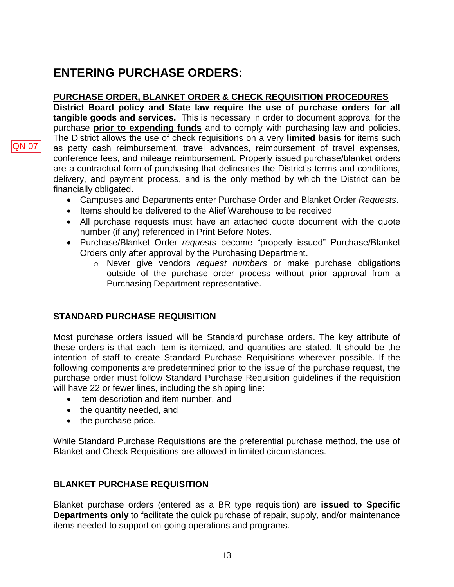# <span id="page-13-0"></span>**ENTERING PURCHASE ORDERS:**

# **PURCHASE ORDER, BLANKET ORDER & CHECK REQUISITION PROCEDURES**

**District Board policy and State law require the use of purchase orders for all tangible goods and services.** This is necessary in order to document approval for the purchase **prior to expending funds** and to comply with purchasing law and policies. The District allows the use of check requisitions on a very **limited basis** for items such as petty cash reimbursement, travel advances, reimbursement of travel expenses, conference fees, and mileage reimbursement. Properly issued purchase/blanket orders are a contractual form of purchasing that delineates the District's terms and conditions, delivery, and payment process, and is the only method by which the District can be financially obligated.

- Campuses and Departments enter Purchase Order and Blanket Order *Requests*.
- Items should be delivered to the Alief Warehouse to be received
- All purchase requests must have an attached quote document with the quote number (if any) referenced in Print Before Notes.
- Purchase/Blanket Order *requests* become "properly issued" Purchase/Blanket Orders only after approval by the Purchasing Department.
	- o Never give vendors *request numbers* or make purchase obligations outside of the purchase order process without prior approval from a Purchasing Department representative.

# **STANDARD PURCHASE REQUISITION**

Most purchase orders issued will be Standard purchase orders. The key attribute of these orders is that each item is itemized, and quantities are stated. It should be the intention of staff to create Standard Purchase Requisitions wherever possible. If the following components are predetermined prior to the issue of the purchase request, the purchase order must follow Standard Purchase Requisition guidelines if the requisition will have 22 or fewer lines, including the shipping line:

- item description and item number, and
- the quantity needed, and
- the purchase price.

<span id="page-13-2"></span>While Standard Purchase Requisitions are the preferential purchase method, the use of Blanket and Check Requisitions are allowed in limited circumstances.

# <span id="page-13-1"></span>**BLANKET PURCHASE REQUISITION**

Blanket purchase orders (entered as a BR type requisition) are **issued to Specific Departments only** to facilitate the quick purchase of repair, supply, and/or maintenance items needed to support on-going operations and programs.

QN 07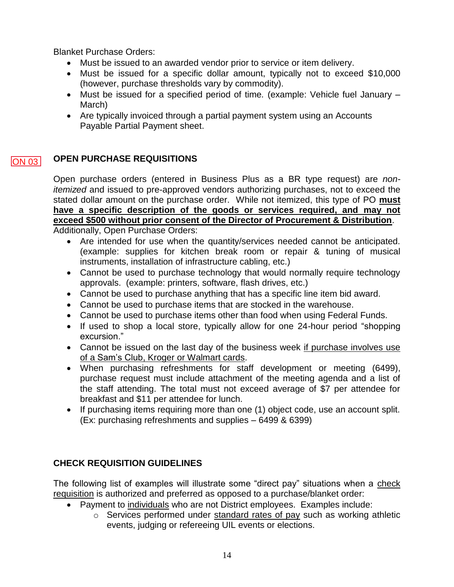Blanket Purchase Orders:

- Must be issued to an awarded vendor prior to service or item delivery.
- Must be issued for a specific dollar amount, typically not to exceed \$10,000 (however, purchase thresholds vary by commodity).
- Must be issued for a specified period of time*.* (example: Vehicle fuel January March)
- Are typically invoiced through a partial payment system using an Accounts Payable Partial Payment sheet.

### **OPEN PURCHASE REQUISITIONS**  $\overline{ON}$  03

<span id="page-14-0"></span>Open purchase orders (entered in Business Plus as a BR type request) are *nonitemized* and issued to pre-approved vendors authorizing purchases, not to exceed the stated dollar amount on the purchase order. While not itemized, this type of PO **must have a specific description of the goods or services required, and may not exceed \$500 without prior consent of the Director of Procurement & Distribution**. Additionally, Open Purchase Orders:

- Are intended for use when the quantity/services needed cannot be anticipated. (example: supplies for kitchen break room or repair & tuning of musical instruments, installation of infrastructure cabling, etc.)
- Cannot be used to purchase technology that would normally require technology approvals. (example: printers, software, flash drives, etc.)
- Cannot be used to purchase anything that has a specific line item bid award.
- Cannot be used to purchase items that are stocked in the warehouse.
- Cannot be used to purchase items other than food when using Federal Funds.
- If used to shop a local store, typically allow for one 24-hour period "shopping excursion."
- Cannot be issued on the last day of the business week if purchase involves use of a Sam's Club, Kroger or Walmart cards.
- When purchasing refreshments for staff development or meeting (6499), purchase request must include attachment of the meeting agenda and a list of the staff attending. The total must not exceed average of \$7 per attendee for breakfast and \$11 per attendee for lunch.
- If purchasing items requiring more than one (1) object code, use an account split. (Ex: purchasing refreshments and supplies – 6499 & 6399)

# **CHECK REQUISITION GUIDELINES**

The following list of examples will illustrate some "direct pay" situations when a check requisition is authorized and preferred as opposed to a purchase/blanket order:

- Payment to individuals who are not District employees. Examples include:
	- o Services performed under standard rates of pay such as working athletic events, judging or refereeing UIL events or elections.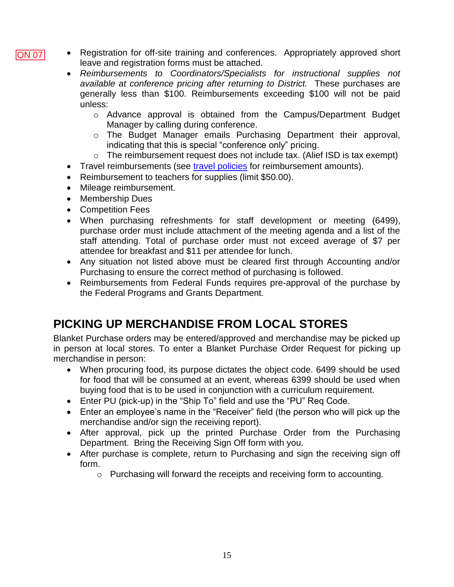- Registration for off-site training and conferences. Appropriately approved short leave and registration forms must be attached.
	- *Reimbursements to Coordinators/Specialists for instructional supplies not available at conference pricing after returning to District.* These purchases are generally less than \$100. Reimbursements exceeding \$100 will not be paid unless:
		- o Advance approval is obtained from the Campus/Department Budget Manager by calling during conference.
		- o The Budget Manager emails Purchasing Department their approval, indicating that this is special "conference only" pricing.
		- o The reimbursement request does not include tax. (Alief ISD is tax exempt)
	- Travel reimbursements (see [travel policies](https://www.aliefisd.net/Page/5196) for reimbursement amounts).
	- Reimbursement to teachers for supplies (limit \$50.00).
	- Mileage reimbursement.
	- Membership Dues

QN 07

- Competition Fees
- When purchasing refreshments for staff development or meeting (6499), purchase order must include attachment of the meeting agenda and a list of the staff attending. Total of purchase order must not exceed average of \$7 per attendee for breakfast and \$11 per attendee for lunch.
- Any situation not listed above must be cleared first through Accounting and/or Purchasing to ensure the correct method of purchasing is followed.
- Reimbursements from Federal Funds requires pre-approval of the purchase by the Federal Programs and Grants Department.

# <span id="page-15-0"></span>**PICKING UP MERCHANDISE FROM LOCAL STORES**

Blanket Purchase orders may be entered/approved and merchandise may be picked up in person at local stores. To enter a Blanket Purchase Order Request for picking up merchandise in person:

- When procuring food, its purpose dictates the object code. 6499 should be used for food that will be consumed at an event, whereas 6399 should be used when buying food that is to be used in conjunction with a curriculum requirement.
- Enter PU (pick-up) in the "Ship To" field and use the "PU" Req Code.
- Enter an employee's name in the "Receiver" field (the person who will pick up the merchandise and/or sign the receiving report).
- After approval, pick up the printed Purchase Order from the Purchasing Department. Bring the Receiving Sign Off form with you.
- After purchase is complete, return to Purchasing and sign the receiving sign off form.
	- o Purchasing will forward the receipts and receiving form to accounting.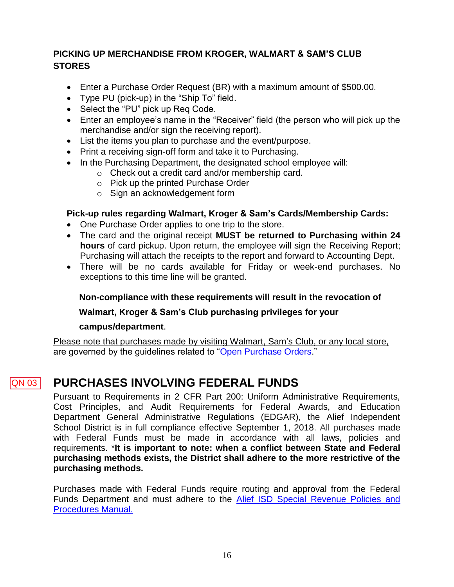# <span id="page-16-0"></span>**PICKING UP MERCHANDISE FROM KROGER, WALMART & SAM'S CLUB STORES**

- Enter a Purchase Order Request (BR) with a maximum amount of \$500.00.
- Type PU (pick-up) in the "Ship To" field.
- Select the "PU" pick up Req Code.
- Enter an employee's name in the "Receiver" field (the person who will pick up the merchandise and/or sign the receiving report).
- List the items you plan to purchase and the event/purpose.
- Print a receiving sign-off form and take it to Purchasing.
- In the Purchasing Department, the designated school employee will:
	- o Check out a credit card and/or membership card.
	- o Pick up the printed Purchase Order
	- o Sign an acknowledgement form

# **Pick-up rules regarding Walmart, Kroger & Sam's Cards/Membership Cards:**

- One Purchase Order applies to one trip to the store.
- The card and the original receipt **MUST be returned to Purchasing within 24 hours** of card pickup. Upon return, the employee will sign the Receiving Report; Purchasing will attach the receipts to the report and forward to Accounting Dept.
- There will be no cards available for Friday or week-end purchases. No exceptions to this time line will be granted.

# **Non-compliance with these requirements will result in the revocation of**

# **Walmart, Kroger & Sam's Club purchasing privileges for your**

# **campus/department**.

Please note that purchases made by visiting Walmart, Sam's Club, or any local store, are governed by the guidelines related to ["Open Purchase Orders.](#page-13-2)"

### **PURCHASES INVOLVING FEDERAL FUNDS** QN 03

<span id="page-16-1"></span>Pursuant to Requirements in 2 CFR Part 200: Uniform Administrative Requirements, Cost Principles, and Audit Requirements for Federal Awards, and Education Department General Administrative Regulations (EDGAR), the Alief Independent School District is in full compliance effective September 1, 2018. All purchases made with Federal Funds must be made in accordance with all laws, policies and requirements. \***It is important to note: when a conflict between State and Federal purchasing methods exists, the District shall adhere to the more restrictive of the purchasing methods.**

Purchases made with Federal Funds require routing and approval from the Federal Funds Department and must adhere to the [Alief ISD Special Revenue Policies and](http://www.aliefisd.net/www/ud00/a/abdb994dac604da8b62c079c9c1e181f/Personal_Documents/Special%20Revenue%20Policies%20and%20Procedures.pdf)  [Procedures Manual.](http://www.aliefisd.net/www/ud00/a/abdb994dac604da8b62c079c9c1e181f/Personal_Documents/Special%20Revenue%20Policies%20and%20Procedures.pdf)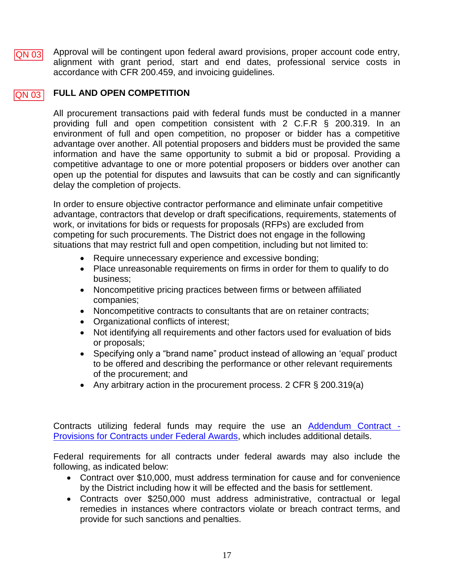Approval will be contingent upon federal award provisions, proper account code entry, alignment with grant period, start and end dates, professional service costs in accordance with CFR 200.459, and invoicing guidelines. QN 03

### **FULL AND OPEN COMPETITION**  $ON$  03

All procurement transactions paid with federal funds must be conducted in a manner providing full and open competition consistent with 2 C.F.R § 200.319. In an environment of full and open competition, no proposer or bidder has a competitive advantage over another. All potential proposers and bidders must be provided the same information and have the same opportunity to submit a bid or proposal. Providing a competitive advantage to one or more potential proposers or bidders over another can open up the potential for disputes and lawsuits that can be costly and can significantly delay the completion of projects.

In order to ensure objective contractor performance and eliminate unfair competitive advantage, contractors that develop or draft specifications, requirements, statements of work, or invitations for bids or requests for proposals (RFPs) are excluded from competing for such procurements. The District does not engage in the following situations that may restrict full and open competition, including but not limited to:

- Require unnecessary experience and excessive bonding;
- Place unreasonable requirements on firms in order for them to qualify to do business;
- Noncompetitive pricing practices between firms or between affiliated companies;
- Noncompetitive contracts to consultants that are on retainer contracts;
- Organizational conflicts of interest;
- Not identifying all requirements and other factors used for evaluation of bids or proposals;
- Specifying only a "brand name" product instead of allowing an 'equal' product to be offered and describing the performance or other relevant requirements of the procurement; and
- Any arbitrary action in the procurement process. 2 CFR  $\S$  200.319(a)

Contracts utilizing federal funds may require the use an **Addendum Contract** -[Provisions for Contracts under Federal Awards,](http://www.aliefisd.net/~/download.axd?file=%7b99E4B1FD-3BBA-44F1-96B6-0F67419AA4DE%7d&dnldType=Resource) which includes additional details.

Federal requirements for all contracts under federal awards may also include the following, as indicated below:

- Contract over \$10,000, must address termination for cause and for convenience by the District including how it will be effected and the basis for settlement.
- Contracts over \$250,000 must address administrative, contractual or legal remedies in instances where contractors violate or breach contract terms, and provide for such sanctions and penalties.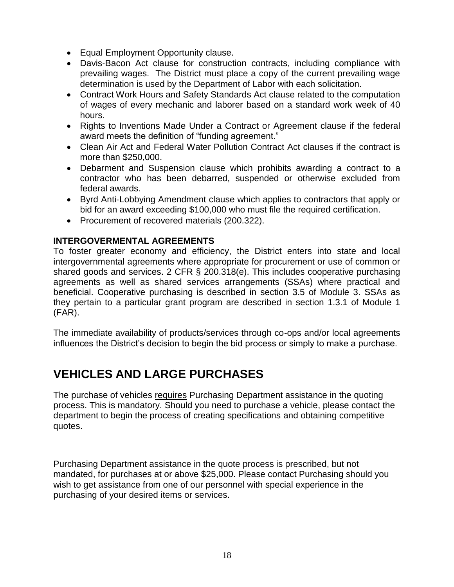- Equal Employment Opportunity clause.
- Davis-Bacon Act clause for construction contracts, including compliance with prevailing wages. The District must place a copy of the current prevailing wage determination is used by the Department of Labor with each solicitation.
- Contract Work Hours and Safety Standards Act clause related to the computation of wages of every mechanic and laborer based on a standard work week of 40 hours.
- Rights to Inventions Made Under a Contract or Agreement clause if the federal award meets the definition of "funding agreement."
- Clean Air Act and Federal Water Pollution Contract Act clauses if the contract is more than \$250,000.
- Debarment and Suspension clause which prohibits awarding a contract to a contractor who has been debarred, suspended or otherwise excluded from federal awards.
- Byrd Anti-Lobbying Amendment clause which applies to contractors that apply or bid for an award exceeding \$100,000 who must file the required certification.
- Procurement of recovered materials (200.322).

# **INTERGOVERMENTAL AGREEMENTS**

To foster greater economy and efficiency, the District enters into state and local intergovernmental agreements where appropriate for procurement or use of common or shared goods and services. 2 CFR § 200.318(e). This includes cooperative purchasing agreements as well as shared services arrangements (SSAs) where practical and beneficial. Cooperative purchasing is described in section 3.5 of Module 3. SSAs as they pertain to a particular grant program are described in section 1.3.1 of Module 1 (FAR).

The immediate availability of products/services through co-ops and/or local agreements influences the District's decision to begin the bid process or simply to make a purchase.

# <span id="page-18-0"></span>**VEHICLES AND LARGE PURCHASES**

The purchase of vehicles requires Purchasing Department assistance in the quoting process. This is mandatory. Should you need to purchase a vehicle, please contact the department to begin the process of creating specifications and obtaining competitive quotes.

Purchasing Department assistance in the quote process is prescribed, but not mandated, for purchases at or above \$25,000. Please contact Purchasing should you wish to get assistance from one of our personnel with special experience in the purchasing of your desired items or services.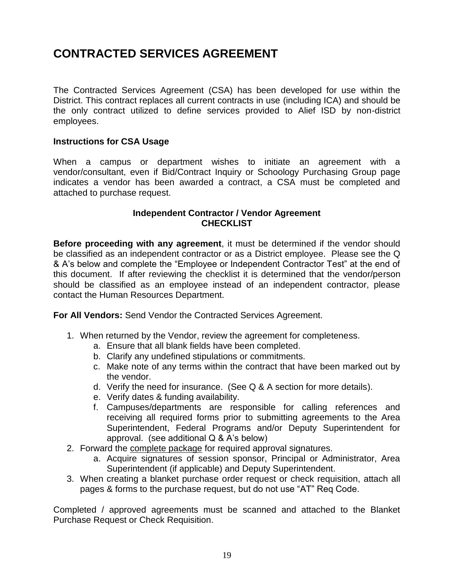# **CONTRACTED SERVICES AGREEMENT**

The Contracted Services Agreement (CSA) has been developed for use within the District. This contract replaces all current contracts in use (including ICA) and should be the only contract utilized to define services provided to Alief ISD by non-district employees.

# **Instructions for CSA Usage**

When a campus or department wishes to initiate an agreement with a vendor/consultant, even if Bid/Contract Inquiry or Schoology Purchasing Group page indicates a vendor has been awarded a contract, a CSA must be completed and attached to purchase request.

# **Independent Contractor / Vendor Agreement CHECKLIST**

**Before proceeding with any agreement**, it must be determined if the vendor should be classified as an independent contractor or as a District employee. Please see the Q & A's below and complete the "Employee or Independent Contractor Test" at the end of this document. If after reviewing the checklist it is determined that the vendor/person should be classified as an employee instead of an independent contractor, please contact the Human Resources Department.

**For All Vendors:** Send Vendor the Contracted Services Agreement.

- 1. When returned by the Vendor, review the agreement for completeness.
	- a. Ensure that all blank fields have been completed.
	- b. Clarify any undefined stipulations or commitments.
	- c. Make note of any terms within the contract that have been marked out by the vendor.
	- d. Verify the need for insurance. (See Q & A section for more details).
	- e. Verify dates & funding availability.
	- f. Campuses/departments are responsible for calling references and receiving all required forms prior to submitting agreements to the Area Superintendent, Federal Programs and/or Deputy Superintendent for approval. (see additional Q & A's below)
- 2. Forward the complete package for required approval signatures.
	- a. Acquire signatures of session sponsor, Principal or Administrator, Area Superintendent (if applicable) and Deputy Superintendent.
- 3. When creating a blanket purchase order request or check requisition, attach all pages & forms to the purchase request, but do not use "AT" Req Code.

Completed / approved agreements must be scanned and attached to the Blanket Purchase Request or Check Requisition.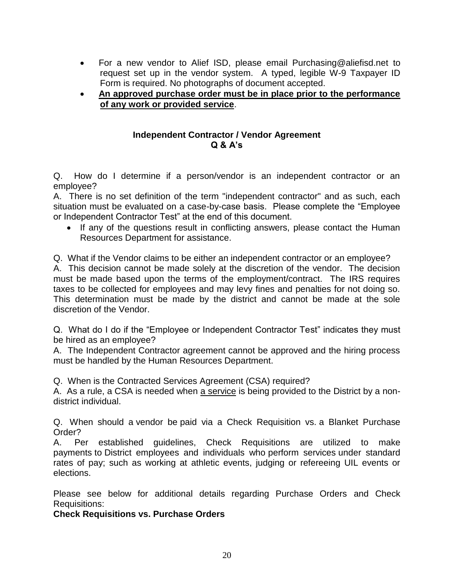- For a new vendor to Alief ISD, please email Purchasing@aliefisd.net to request set up in the vendor system. A typed, legible W-9 Taxpayer ID Form is required. No photographs of document accepted.
- **An approved purchase order must be in place prior to the performance of any work or provided service**.

# **Independent Contractor / Vendor Agreement Q & A's**

Q. How do I determine if a person/vendor is an independent contractor or an employee?

A. There is no set definition of the term "independent contractor" and as such, each situation must be evaluated on a case-by-case basis. Please complete the "Employee or Independent Contractor Test" at the end of this document.

• If any of the questions result in conflicting answers, please contact the Human Resources Department for assistance.

Q. What if the Vendor claims to be either an independent contractor or an employee? A. This decision cannot be made solely at the discretion of the vendor. The decision must be made based upon the terms of the employment/contract. The IRS requires taxes to be collected for employees and may levy fines and penalties for not doing so. This determination must be made by the district and cannot be made at the sole discretion of the Vendor.

Q. What do I do if the "Employee or Independent Contractor Test" indicates they must be hired as an employee?

A. The Independent Contractor agreement cannot be approved and the hiring process must be handled by the Human Resources Department.

Q. When is the Contracted Services Agreement (CSA) required?

A. As a rule, a CSA is needed when a service is being provided to the District by a nondistrict individual.

Q. When should a vendor be paid via a Check Requisition vs. a Blanket Purchase Order?

A. Per established guidelines, Check Requisitions are utilized to make payments to District employees and individuals who perform services under standard rates of pay; such as working at athletic events, judging or refereeing UIL events or elections.

Please see below for additional details regarding Purchase Orders and Check Requisitions:

**Check Requisitions vs. Purchase Orders**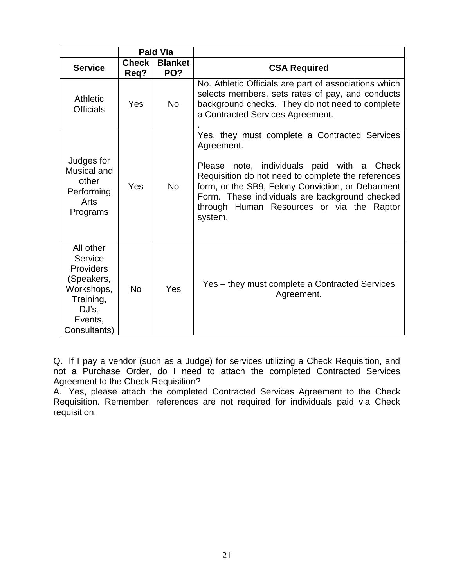|                                                                                                                       | <b>Paid Via</b>      |                       |                                                                                                                                                                                                                                                                                                                                   |
|-----------------------------------------------------------------------------------------------------------------------|----------------------|-----------------------|-----------------------------------------------------------------------------------------------------------------------------------------------------------------------------------------------------------------------------------------------------------------------------------------------------------------------------------|
| <b>Service</b>                                                                                                        | <b>Check</b><br>Req? | <b>Blanket</b><br>PO? | <b>CSA Required</b>                                                                                                                                                                                                                                                                                                               |
| <b>Athletic</b><br><b>Officials</b>                                                                                   | Yes                  | <b>No</b>             | No. Athletic Officials are part of associations which<br>selects members, sets rates of pay, and conducts<br>background checks. They do not need to complete<br>a Contracted Services Agreement.                                                                                                                                  |
| Judges for<br>Musical and<br>other<br>Performing<br>Arts<br>Programs                                                  | Yes                  | <b>No</b>             | Yes, they must complete a Contracted Services<br>Agreement.<br>note, individuals paid with a Check<br>Please<br>Requisition do not need to complete the references<br>form, or the SB9, Felony Conviction, or Debarment<br>Form. These individuals are background checked<br>through Human Resources or via the Raptor<br>system. |
| All other<br>Service<br><b>Providers</b><br>(Speakers,<br>Workshops,<br>Training,<br>DJ's,<br>Events,<br>Consultants) | <b>No</b>            | Yes                   | Yes – they must complete a Contracted Services<br>Agreement.                                                                                                                                                                                                                                                                      |

Q. If I pay a vendor (such as a Judge) for services utilizing a Check Requisition, and not a Purchase Order, do I need to attach the completed Contracted Services Agreement to the Check Requisition?

A. Yes, please attach the completed Contracted Services Agreement to the Check Requisition. Remember, references are not required for individuals paid via Check requisition.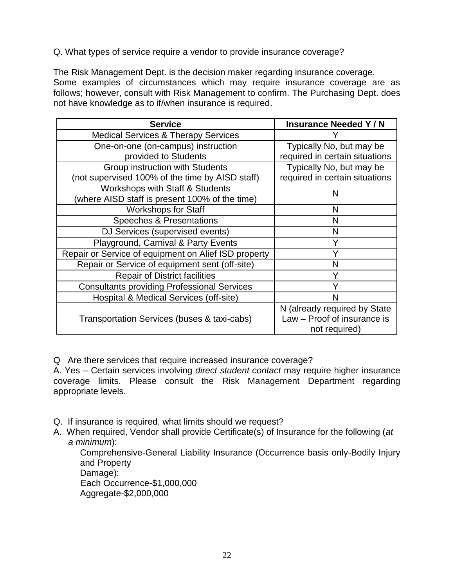# Q. What types of service require a vendor to provide insurance coverage?

The Risk Management Dept. is the decision maker regarding insurance coverage. Some examples of circumstances which may require insurance coverage are as follows; however, consult with Risk Management to confirm. The Purchasing Dept. does not have knowledge as to if/when insurance is required.

| <b>Service</b>                                       | <b>Insurance Needed Y/N</b>    |
|------------------------------------------------------|--------------------------------|
| <b>Medical Services &amp; Therapy Services</b>       |                                |
| One-on-one (on-campus) instruction                   | Typically No, but may be       |
| provided to Students                                 | required in certain situations |
| Group instruction with Students                      | Typically No, but may be       |
| (not supervised 100% of the time by AISD staff)      | required in certain situations |
| Workshops with Staff & Students                      | N                              |
| (where AISD staff is present 100% of the time)       |                                |
| <b>Workshops for Staff</b>                           | N                              |
| Speeches & Presentations                             | N                              |
| DJ Services (supervised events)                      | N                              |
| Playground, Carnival & Party Events                  | Υ                              |
| Repair or Service of equipment on Alief ISD property | Y                              |
| Repair or Service of equipment sent (off-site)       | N                              |
| <b>Repair of District facilities</b>                 | Y                              |
| <b>Consultants providing Professional Services</b>   | Υ                              |
| Hospital & Medical Services (off-site)               |                                |
|                                                      | N (already required by State   |
| Transportation Services (buses & taxi-cabs)          | Law - Proof of insurance is    |
|                                                      | not required)                  |

Q Are there services that require increased insurance coverage?

A. Yes – Certain services involving *direct student contact* may require higher insurance coverage limits. Please consult the Risk Management Department regarding appropriate levels.

- Q. If insurance is required, what limits should we request?
- A. When required, Vendor shall provide Certificate(s) of Insurance for the following (*at a minimum*):

Comprehensive-General Liability Insurance (Occurrence basis only-Bodily Injury and Property Damage):

 Each Occurrence-\$1,000,000 Aggregate-\$2,000,000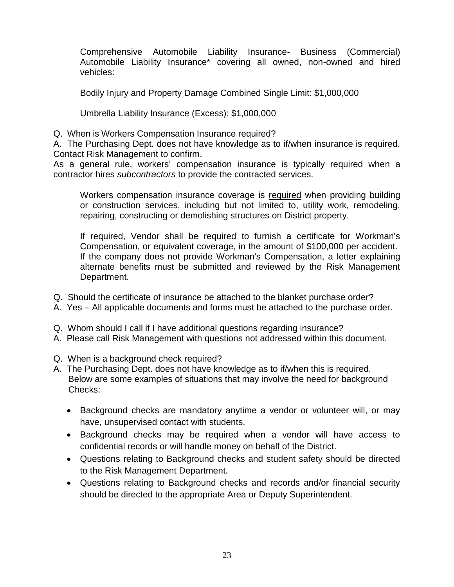Comprehensive Automobile Liability Insurance- Business (Commercial) Automobile Liability Insurance\* covering all owned, non-owned and hired vehicles:

Bodily Injury and Property Damage Combined Single Limit: \$1,000,000

Umbrella Liability Insurance (Excess): \$1,000,000

Q. When is Workers Compensation Insurance required?

A. The Purchasing Dept. does not have knowledge as to if/when insurance is required. Contact Risk Management to confirm.

As a general rule, workers' compensation insurance is typically required when a contractor hires *subcontractors* to provide the contracted services.

Workers compensation insurance coverage is required when providing building or construction services, including but not limited to, utility work, remodeling, repairing, constructing or demolishing structures on District property.

If required, Vendor shall be required to furnish a certificate for Workman's Compensation, or equivalent coverage, in the amount of \$100,000 per accident. If the company does not provide Workman's Compensation, a letter explaining alternate benefits must be submitted and reviewed by the Risk Management Department.

- Q. Should the certificate of insurance be attached to the blanket purchase order?
- A. Yes All applicable documents and forms must be attached to the purchase order.
- Q. Whom should I call if I have additional questions regarding insurance?
- A. Please call Risk Management with questions not addressed within this document.
- Q. When is a background check required?
- A. The Purchasing Dept. does not have knowledge as to if/when this is required. Below are some examples of situations that may involve the need for background Checks:
	- Background checks are mandatory anytime a vendor or volunteer will, or may have, unsupervised contact with students.
	- Background checks may be required when a vendor will have access to confidential records or will handle money on behalf of the District.
	- Questions relating to Background checks and student safety should be directed to the Risk Management Department.
	- Questions relating to Background checks and records and/or financial security should be directed to the appropriate Area or Deputy Superintendent.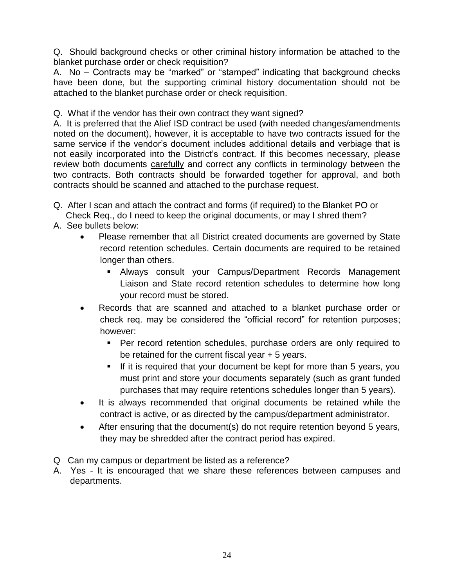Q. Should background checks or other criminal history information be attached to the blanket purchase order or check requisition?

A. No – Contracts may be "marked" or "stamped" indicating that background checks have been done, but the supporting criminal history documentation should not be attached to the blanket purchase order or check requisition.

Q. What if the vendor has their own contract they want signed?

A. It is preferred that the Alief ISD contract be used (with needed changes/amendments noted on the document), however, it is acceptable to have two contracts issued for the same service if the vendor's document includes additional details and verbiage that is not easily incorporated into the District's contract. If this becomes necessary, please review both documents carefully and correct any conflicts in terminology between the two contracts. Both contracts should be forwarded together for approval, and both contracts should be scanned and attached to the purchase request.

- Q. After I scan and attach the contract and forms (if required) to the Blanket PO or Check Req., do I need to keep the original documents, or may I shred them?
- A. See bullets below:
	- Please remember that all District created documents are governed by State record retention schedules. Certain documents are required to be retained longer than others.
		- Always consult your Campus/Department Records Management Liaison and State record retention schedules to determine how long your record must be stored.
	- Records that are scanned and attached to a blanket purchase order or check req. may be considered the "official record" for retention purposes; however:
		- **Per record retention schedules, purchase orders are only required to** be retained for the current fiscal year + 5 years.
		- If it is required that your document be kept for more than 5 years, you must print and store your documents separately (such as grant funded purchases that may require retentions schedules longer than 5 years).
	- It is always recommended that original documents be retained while the contract is active, or as directed by the campus/department administrator.
	- After ensuring that the document(s) do not require retention beyond 5 years, they may be shredded after the contract period has expired.
- Q Can my campus or department be listed as a reference?
- A. Yes It is encouraged that we share these references between campuses and departments.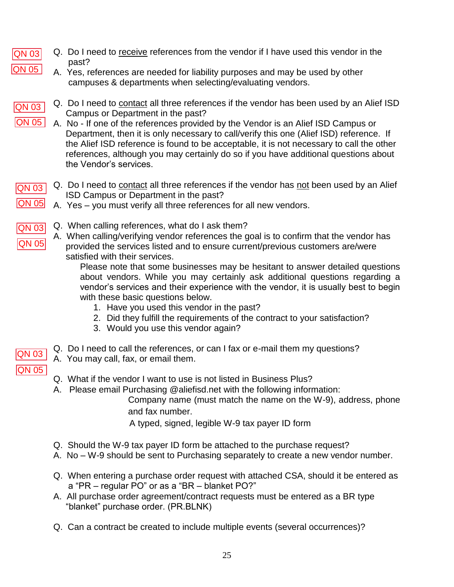- Q. Do I need to receive references from the vendor if I have used this vendor in the QN 03 past? **QN 05** 
	- A. Yes, references are needed for liability purposes and may be used by other campuses & departments when selecting/evaluating vendors.
- QN 05<br>
QN 03<br>
QN 03<br>
QN 03<br>
QN 03<br>
QN 05<br>
QN 03 QN 03 |QN 05 |

QN 05

- Q. Do I need to contact all three references if the vendor has been used by an Alief ISD Campus or Department in the past?
- A. No If one of the references provided by the Vendor is an Alief ISD Campus or Department, then it is only necessary to call/verify this one (Alief ISD) reference. If the Alief ISD reference is found to be acceptable, it is not necessary to call the other references, although you may certainly do so if you have additional questions about the Vendor's services.
- Q. Do I need to contact all three references if the vendor has not been used by an Alief ISD Campus or Department in the past? QN 03
- **QN 05** A. Yes – you must verify all three references for all new vendors.
- Q. When calling references, what do I ask them? QN 03
- A. When calling/verifying vendor references the goal is to confirm that the vendor has QN 05 provided the services listed and to ensure current/previous customers are/were satisfied with their services.

Please note that some businesses may be hesitant to answer detailed questions about vendors. While you may certainly ask additional questions regarding a vendor's services and their experience with the vendor, it is usually best to begin with these basic questions below.

- 1. Have you used this vendor in the past?
- 2. Did they fulfill the requirements of the contract to your satisfaction?
- 3. Would you use this vendor again?
- Q. Do I need to call the references, or can I fax or e-mail them my questions? QN 03
	- A. You may call, fax, or email them.
	- Q. What if the vendor I want to use is not listed in Business Plus?
	- A. Please email Purchasing @aliefisd.net with the following information:

Company name (must match the name on the W-9), address, phone and fax number.

A typed, signed, legible W-9 tax payer ID form

- Q. Should the W-9 tax payer ID form be attached to the purchase request?
- A. No W-9 should be sent to Purchasing separately to create a new vendor number.
- Q. When entering a purchase order request with attached CSA, should it be entered as a "PR – regular PO" or as a "BR – blanket PO?"
- A. All purchase order agreement/contract requests must be entered as a BR type "blanket" purchase order. (PR.BLNK)
- Q. Can a contract be created to include multiple events (several occurrences)?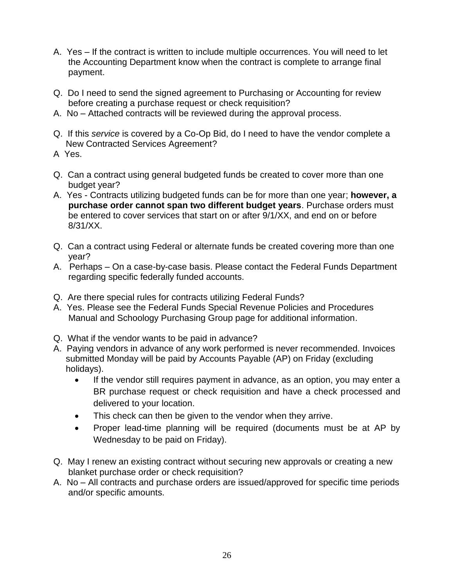- A. Yes If the contract is written to include multiple occurrences. You will need to let the Accounting Department know when the contract is complete to arrange final payment.
- Q. Do I need to send the signed agreement to Purchasing or Accounting for review before creating a purchase request or check requisition?
- A. No Attached contracts will be reviewed during the approval process.
- Q. If this *service* is covered by a Co-Op Bid, do I need to have the vendor complete a New Contracted Services Agreement?
- A Yes.
- Q. Can a contract using general budgeted funds be created to cover more than one budget year?
- A. Yes Contracts utilizing budgeted funds can be for more than one year; **however, a purchase order cannot span two different budget years**. Purchase orders must be entered to cover services that start on or after 9/1/XX, and end on or before 8/31/XX.
- Q. Can a contract using Federal or alternate funds be created covering more than one year?
- A. Perhaps On a case-by-case basis. Please contact the Federal Funds Department regarding specific federally funded accounts.
- Q. Are there special rules for contracts utilizing Federal Funds?
- A. Yes. Please see the Federal Funds Special Revenue Policies and Procedures Manual and Schoology Purchasing Group page for additional information.
- Q. What if the vendor wants to be paid in advance?
- A. Paying vendors in advance of any work performed is never recommended. Invoices submitted Monday will be paid by Accounts Payable (AP) on Friday (excluding holidays).
	- If the vendor still requires payment in advance, as an option, you may enter a BR purchase request or check requisition and have a check processed and delivered to your location.
	- This check can then be given to the vendor when they arrive.
	- Proper lead-time planning will be required (documents must be at AP by Wednesday to be paid on Friday).
- Q. May I renew an existing contract without securing new approvals or creating a new blanket purchase order or check requisition?
- A. No All contracts and purchase orders are issued/approved for specific time periods and/or specific amounts.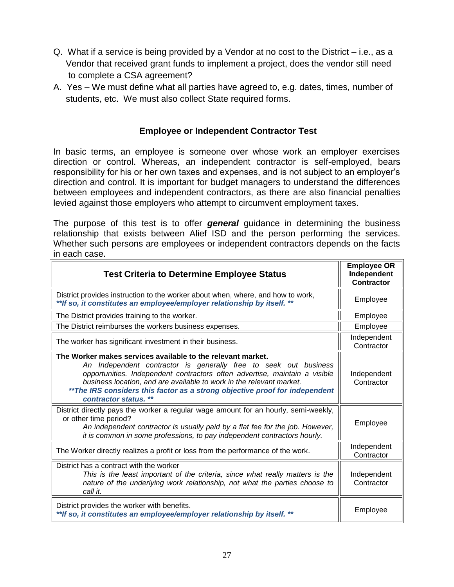- Q. What if a service is being provided by a Vendor at no cost to the District i.e., as a Vendor that received grant funds to implement a project, does the vendor still need to complete a CSA agreement?
- A. Yes We must define what all parties have agreed to, e.g. dates, times, number of students, etc. We must also collect State required forms.

# **Employee or Independent Contractor Test**

In basic terms, an employee is someone over whose work an employer exercises direction or control. Whereas, an independent contractor is self-employed, bears responsibility for his or her own taxes and expenses, and is not subject to an employer's direction and control. It is important for budget managers to understand the differences between employees and independent contractors, as there are also financial penalties levied against those employers who attempt to circumvent employment taxes.

The purpose of this test is to offer *general* guidance in determining the business relationship that exists between Alief ISD and the person performing the services. Whether such persons are employees or independent contractors depends on the facts in each case.

| <b>Test Criteria to Determine Employee Status</b>                                                                                                                                                                                                                                                                                                                                             | <b>Employee OR</b><br>Independent<br><b>Contractor</b> |
|-----------------------------------------------------------------------------------------------------------------------------------------------------------------------------------------------------------------------------------------------------------------------------------------------------------------------------------------------------------------------------------------------|--------------------------------------------------------|
| District provides instruction to the worker about when, where, and how to work,<br>** If so, it constitutes an employee/employer relationship by itself. **                                                                                                                                                                                                                                   | Employee                                               |
| The District provides training to the worker.                                                                                                                                                                                                                                                                                                                                                 | Employee                                               |
| The District reimburses the workers business expenses.                                                                                                                                                                                                                                                                                                                                        | Employee                                               |
| The worker has significant investment in their business.                                                                                                                                                                                                                                                                                                                                      | Independent<br>Contractor                              |
| The Worker makes services available to the relevant market.<br>An Independent contractor is generally free to seek out business<br>opportunities. Independent contractors often advertise, maintain a visible<br>business location, and are available to work in the relevant market.<br>**The IRS considers this factor as a strong objective proof for independent<br>contractor status. ** | Independent<br>Contractor                              |
| District directly pays the worker a regular wage amount for an hourly, semi-weekly,<br>or other time period?<br>An independent contractor is usually paid by a flat fee for the job. However,<br>it is common in some professions, to pay independent contractors hourly.                                                                                                                     | Employee                                               |
| The Worker directly realizes a profit or loss from the performance of the work.                                                                                                                                                                                                                                                                                                               | Independent<br>Contractor                              |
| District has a contract with the worker<br>This is the least important of the criteria, since what really matters is the<br>nature of the underlying work relationship, not what the parties choose to<br>call it.                                                                                                                                                                            | Independent<br>Contractor                              |
| District provides the worker with benefits.<br>** If so, it constitutes an employee/employer relationship by itself. **                                                                                                                                                                                                                                                                       | Employee                                               |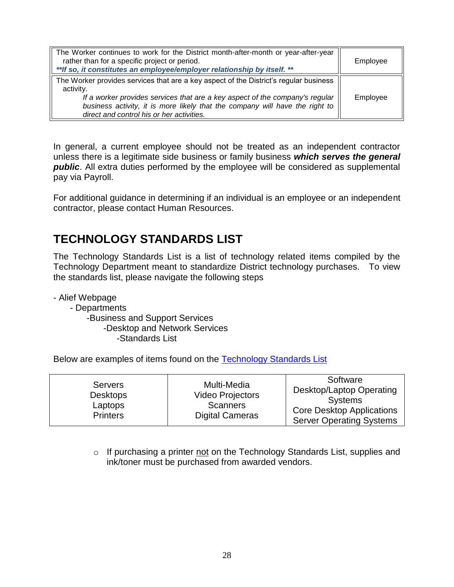| The Worker continues to work for the District month-after-month or year-after-year<br>rather than for a specific project or period.<br>** If so, it constitutes an employee/employer relationship by itself. **                                                                                                 | Employee |
|-----------------------------------------------------------------------------------------------------------------------------------------------------------------------------------------------------------------------------------------------------------------------------------------------------------------|----------|
| The Worker provides services that are a key aspect of the District's regular business<br>activity.<br>If a worker provides services that are a key aspect of the company's regular<br>business activity, it is more likely that the company will have the right to<br>direct and control his or her activities. | Employee |

In general, a current employee should not be treated as an independent contractor unless there is a legitimate side business or family business *which serves the general*  **public**. All extra duties performed by the employee will be considered as supplemental pay via Payroll.

<span id="page-28-0"></span>For additional guidance in determining if an individual is an employee or an independent contractor, please contact Human Resources.

# **TECHNOLOGY STANDARDS LIST**

The Technology Standards List is a list of technology related items compiled by the Technology Department meant to standardize District technology purchases. To view the standards list, please navigate the following steps

- Alief Webpage

- Departments -Business and Support Services -Desktop and Network Services -Standards List

Below are examples of items found on the [Technology Standards List](https://www.aliefisd.net/Page/242)

| <b>Servers</b><br><b>Desktops</b><br>Laptops<br><b>Printers</b> | Multi-Media<br><b>Video Projectors</b><br><b>Scanners</b><br><b>Digital Cameras</b> | Software<br>Desktop/Laptop Operating<br><b>Systems</b><br><b>Core Desktop Applications</b><br><b>Server Operating Systems</b> |
|-----------------------------------------------------------------|-------------------------------------------------------------------------------------|-------------------------------------------------------------------------------------------------------------------------------|
|-----------------------------------------------------------------|-------------------------------------------------------------------------------------|-------------------------------------------------------------------------------------------------------------------------------|

o If purchasing a printer not on the Technology Standards List, supplies and ink/toner must be purchased from awarded vendors.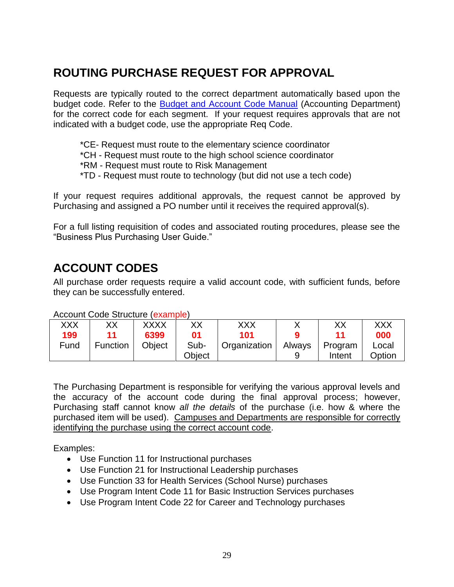# <span id="page-29-0"></span>**ROUTING PURCHASE REQUEST FOR APPROVAL**

Requests are typically routed to the correct department automatically based upon the budget code. Refer to the [Budget and Account Code Manual](https://www.aliefisd.net/Page/4177) (Accounting Department) for the correct code for each segment. If your request requires approvals that are not indicated with a budget code, use the appropriate Req Code.

- \*CE- Request must route to the elementary science coordinator
- \*CH Request must route to the high school science coordinator
- \*RM Request must route to Risk Management
- \*TD Request must route to technology (but did not use a tech code)

If your request requires additional approvals, the request cannot be approved by Purchasing and assigned a PO number until it receives the required approval(s).

For a full listing requisition of codes and associated routing procedures, please see the "Business Plus Purchasing User Guide."

# <span id="page-29-1"></span>**ACCOUNT CODES**

All purchase order requests require a valid account code, with sufficient funds, before they can be successfully entered.

Account Code Structure (example)

| XXX<br>199 | XХ              | <b>XXXX</b><br>6399 | ХX<br>01       | XXX<br>101   |        | ХX                | XXX<br>000      |
|------------|-----------------|---------------------|----------------|--------------|--------|-------------------|-----------------|
| Fund       | <b>Function</b> | Obiect              | Sub-<br>Obiect | Organization | Always | Program<br>Intent | Local<br>Option |

The Purchasing Department is responsible for verifying the various approval levels and the accuracy of the account code during the final approval process; however, Purchasing staff cannot know *all the details* of the purchase (i.e. how & where the purchased item will be used). Campuses and Departments are responsible for correctly identifying the purchase using the correct account code.

Examples:

- Use Function 11 for Instructional purchases
- Use Function 21 for Instructional Leadership purchases
- Use Function 33 for Health Services (School Nurse) purchases
- Use Program Intent Code 11 for Basic Instruction Services purchases
- Use Program Intent Code 22 for Career and Technology purchases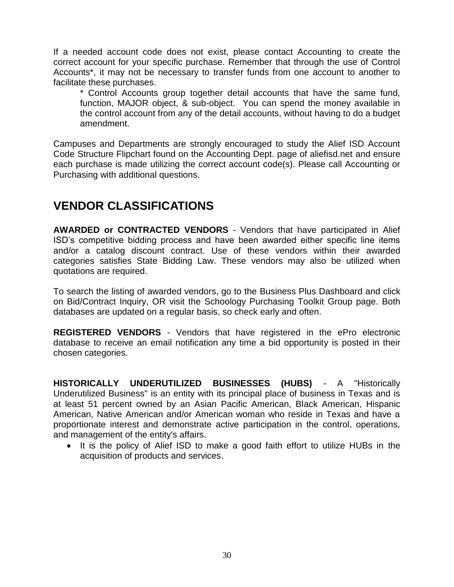If a needed account code does not exist, please contact Accounting to create the correct account for your specific purchase. Remember that through the use of Control Accounts\*, it may not be necessary to transfer funds from one account to another to facilitate these purchases.

\* Control Accounts group together detail accounts that have the same fund, function, MAJOR object, & sub-object. You can spend the money available in the control account from any of the detail accounts, without having to do a budget amendment.

Campuses and Departments are strongly encouraged to study the Alief ISD Account Code Structure Flipchart found on the Accounting Dept. page of aliefisd.net and ensure each purchase is made utilizing the correct account code(s). Please call Accounting or Purchasing with additional questions.

# <span id="page-30-0"></span>**VENDOR CLASSIFICATIONS**

**AWARDED or CONTRACTED VENDORS** - Vendors that have participated in Alief ISD's competitive bidding process and have been awarded either specific line items and/or a catalog discount contract. Use of these vendors within their awarded categories satisfies State Bidding Law. These vendors may also be utilized when quotations are required.

To search the listing of awarded vendors, go to the Business Plus Dashboard and click on Bid/Contract Inquiry, OR visit the Schoology Purchasing Toolkit Group page. Both databases are updated on a regular basis, so check early and often.

**REGISTERED VENDORS** - Vendors that have registered in the ePro electronic database to receive an email notification any time a bid opportunity is posted in their chosen categories.

**HISTORICALLY UNDERUTILIZED BUSINESSES (HUBS)** - A "Historically Underutilized Business" is an entity with its principal place of business in Texas and is at least 51 percent owned by an Asian Pacific American, Black American, Hispanic American, Native American and/or American woman who reside in Texas and have a proportionate interest and demonstrate active participation in the control, operations, and management of the entity's affairs.

<span id="page-30-1"></span>• It is the policy of Alief ISD to make a good faith effort to utilize HUBs in the acquisition of products and services.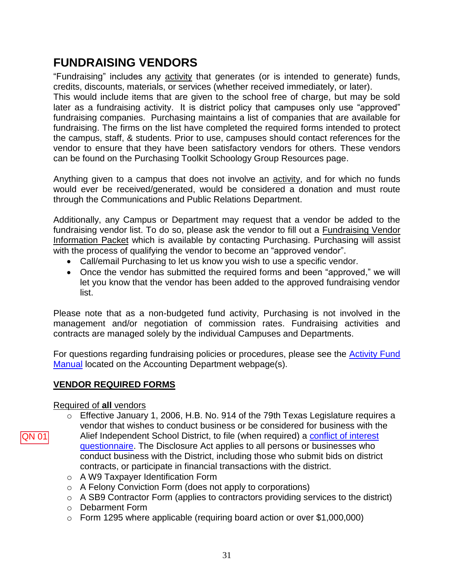# **FUNDRAISING VENDORS**

"Fundraising" includes any activity that generates (or is intended to generate) funds, credits, discounts, materials, or services (whether received immediately, or later). This would include items that are given to the school free of charge, but may be sold later as a fundraising activity. It is district policy that campuses only use "approved" fundraising companies. Purchasing maintains a list of companies that are available for fundraising. The firms on the list have completed the required forms intended to protect the campus, staff, & students. Prior to use, campuses should contact references for the vendor to ensure that they have been satisfactory vendors for others. These vendors can be found on the Purchasing Toolkit Schoology Group Resources page.

Anything given to a campus that does not involve an activity, and for which no funds would ever be received/generated, would be considered a donation and must route through the Communications and Public Relations Department.

Additionally, any Campus or Department may request that a vendor be added to the fundraising vendor list. To do so, please ask the vendor to fill out a Fundraising Vendor Information Packet which is available by contacting Purchasing. Purchasing will assist with the process of qualifying the vendor to become an "approved vendor".

- Call/email Purchasing to let us know you wish to use a specific vendor.
- Once the vendor has submitted the required forms and been "approved," we will let you know that the vendor has been added to the approved fundraising vendor list.

Please note that as a non-budgeted fund activity, Purchasing is not involved in the management and/or negotiation of commission rates. Fundraising activities and contracts are managed solely by the individual Campuses and Departments.

For questions regarding fundraising policies or procedures, please see the [Activity Fund](https://www.aliefisd.net/Page/4173)  [Manual](https://www.aliefisd.net/Page/4173) located on the Accounting Department webpage(s).

# <span id="page-31-0"></span>**VENDOR REQUIRED FORMS**

# Required of **all** vendors

QN 01

- o Effective January 1, 2006, H.B. No. 914 of the 79th Texas Legislature requires a vendor that wishes to conduct business or be considered for business with the Alief Independent School District, to file (when required) a [conflict of interest](https://www.aliefisd.net/Page/6269)  [questionnaire.](https://www.aliefisd.net/Page/6269) The Disclosure Act applies to all persons or businesses who conduct business with the District, including those who submit bids on district contracts, or participate in financial transactions with the district.
	- o A W9 Taxpayer Identification Form
	- o A Felony Conviction Form (does not apply to corporations)
	- o A SB9 Contractor Form (applies to contractors providing services to the district)
	- o Debarment Form
	- o Form 1295 where applicable (requiring board action or over \$1,000,000)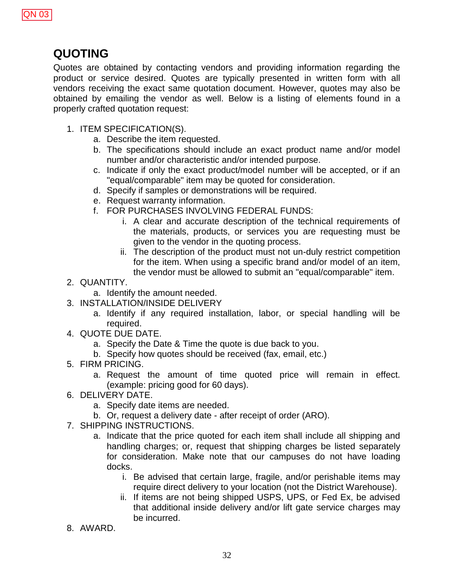

# <span id="page-32-0"></span>**QUOTING**

Quotes are obtained by contacting vendors and providing information regarding the product or service desired. Quotes are typically presented in written form with all vendors receiving the exact same quotation document. However, quotes may also be obtained by emailing the vendor as well. Below is a listing of elements found in a properly crafted quotation request:

- 1. ITEM SPECIFICATION(S).
	- a. Describe the item requested.
	- b. The specifications should include an exact product name and/or model number and/or characteristic and/or intended purpose.
	- c. Indicate if only the exact product/model number will be accepted, or if an "equal/comparable" item may be quoted for consideration.
	- d. Specify if samples or demonstrations will be required.
	- e. Request warranty information.
	- f. FOR PURCHASES INVOLVING FEDERAL FUNDS:
		- i. A clear and accurate description of the technical requirements of the materials, products, or services you are requesting must be given to the vendor in the quoting process.
		- ii. The description of the product must not un-duly restrict competition for the item. When using a specific brand and/or model of an item, the vendor must be allowed to submit an "equal/comparable" item.
- 2. QUANTITY.
	- a. Identify the amount needed.
- 3. INSTALLATION/INSIDE DELIVERY
	- a. Identify if any required installation, labor, or special handling will be required.
- 4. QUOTE DUE DATE.
	- a. Specify the Date & Time the quote is due back to you.
	- b. Specify how quotes should be received (fax, email, etc.)
- 5. FIRM PRICING.
	- a. Request the amount of time quoted price will remain in effect. (example: pricing good for 60 days).
- 6. DELIVERY DATE.
	- a. Specify date items are needed.
	- b. Or, request a delivery date after receipt of order (ARO).
- 7. SHIPPING INSTRUCTIONS.
	- a. Indicate that the price quoted for each item shall include all shipping and handling charges; or, request that shipping charges be listed separately for consideration. Make note that our campuses do not have loading docks.
		- i. Be advised that certain large, fragile, and/or perishable items may require direct delivery to your location (not the District Warehouse).
		- ii. If items are not being shipped USPS, UPS, or Fed Ex, be advised that additional inside delivery and/or lift gate service charges may be incurred.
- 8. AWARD.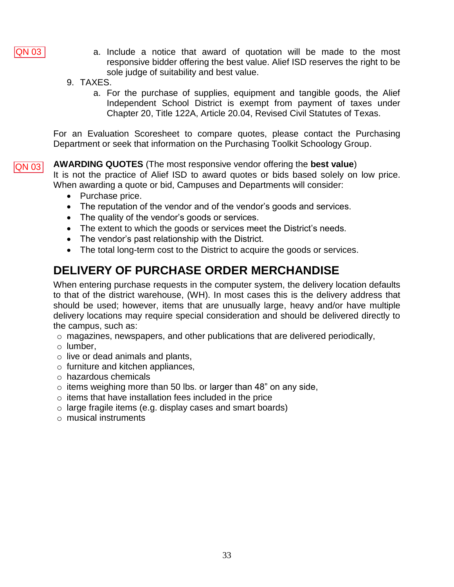

- a. Include a notice that award of quotation will be made to the most responsive bidder offering the best value. Alief ISD reserves the right to be sole judge of suitability and best value.
- 9. TAXES.
	- a. For the purchase of supplies, equipment and tangible goods, the Alief Independent School District is exempt from payment of taxes under Chapter 20, Title 122A, Article 20.04, Revised Civil Statutes of Texas.

<span id="page-33-0"></span>For an Evaluation Scoresheet to compare quotes, please contact the Purchasing Department or seek that information on the Purchasing Toolkit Schoology Group.

**AWARDING QUOTES** (The most responsive vendor offering the **best value**) It is not the practice of Alief ISD to award quotes or bids based solely on low price. When awarding a quote or bid, Campuses and Departments will consider: QN 03

- Purchase price.
- The reputation of the vendor and of the vendor's goods and services.
- The quality of the vendor's goods or services.
- The extent to which the goods or services meet the District's needs.
- The vendor's past relationship with the District.
- The total long-term cost to the District to acquire the goods or services.

# <span id="page-33-1"></span>**DELIVERY OF PURCHASE ORDER MERCHANDISE**

When entering purchase requests in the computer system, the delivery location defaults to that of the district warehouse, (WH). In most cases this is the delivery address that should be used; however, items that are unusually large, heavy and/or have multiple delivery locations may require special consideration and should be delivered directly to the campus, such as:

- $\circ$  magazines, newspapers, and other publications that are delivered periodically,
- o lumber,
- $\circ$  live or dead animals and plants,
- o furniture and kitchen appliances,
- o hazardous chemicals
- $\circ$  items weighing more than 50 lbs. or larger than 48" on any side,
- $\circ$  items that have installation fees included in the price
- o large fragile items (e.g. display cases and smart boards)
- $\circ$  musical instruments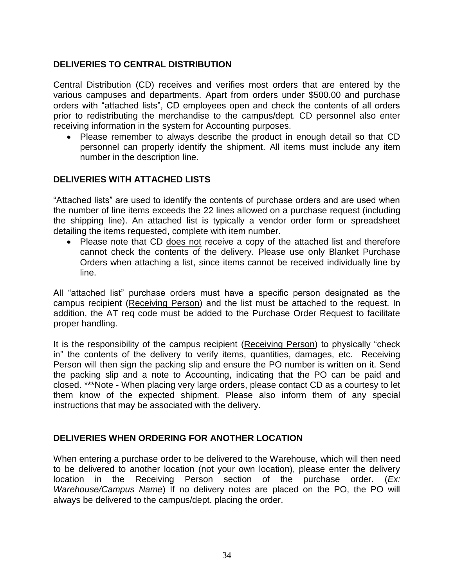# **DELIVERIES TO CENTRAL DISTRIBUTION**

Central Distribution (CD) receives and verifies most orders that are entered by the various campuses and departments. Apart from orders under \$500.00 and purchase orders with "attached lists", CD employees open and check the contents of all orders prior to redistributing the merchandise to the campus/dept. CD personnel also enter receiving information in the system for Accounting purposes.

 Please remember to always describe the product in enough detail so that CD personnel can properly identify the shipment. All items must include any item number in the description line.

# <span id="page-34-0"></span>**DELIVERIES WITH ATTACHED LISTS**

"Attached lists" are used to identify the contents of purchase orders and are used when the number of line items exceeds the 22 lines allowed on a purchase request (including the shipping line). An attached list is typically a vendor order form or spreadsheet detailing the items requested, complete with item number.

• Please note that CD does not receive a copy of the attached list and therefore cannot check the contents of the delivery. Please use only Blanket Purchase Orders when attaching a list, since items cannot be received individually line by line.

All "attached list" purchase orders must have a specific person designated as the campus recipient (Receiving Person) and the list must be attached to the request. In addition, the AT req code must be added to the Purchase Order Request to facilitate proper handling.

It is the responsibility of the campus recipient (Receiving Person) to physically "check in" the contents of the delivery to verify items, quantities, damages, etc. Receiving Person will then sign the packing slip and ensure the PO number is written on it. Send the packing slip and a note to Accounting, indicating that the PO can be paid and closed. \*\*\*Note - When placing very large orders, please contact CD as a courtesy to let them know of the expected shipment. Please also inform them of any special instructions that may be associated with the delivery.

# <span id="page-34-1"></span>**DELIVERIES WHEN ORDERING FOR ANOTHER LOCATION**

When entering a purchase order to be delivered to the Warehouse, which will then need to be delivered to another location (not your own location), please enter the delivery location in the Receiving Person section of the purchase order. (*Ex: Warehouse/Campus Name*) If no delivery notes are placed on the PO, the PO will always be delivered to the campus/dept. placing the order.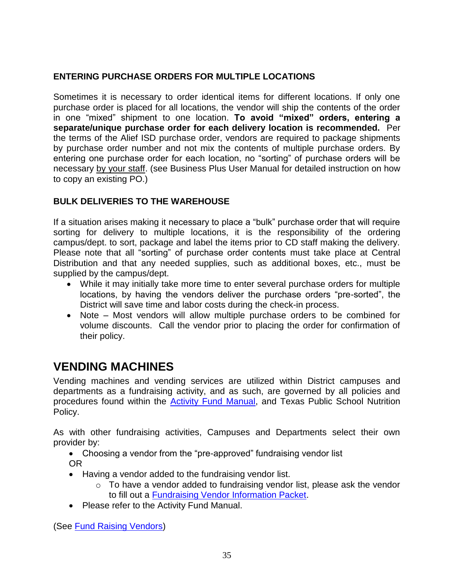# <span id="page-35-0"></span>**ENTERING PURCHASE ORDERS FOR MULTIPLE LOCATIONS**

Sometimes it is necessary to order identical items for different locations. If only one purchase order is placed for all locations, the vendor will ship the contents of the order in one "mixed" shipment to one location. **To avoid "mixed" orders, entering a separate/unique purchase order for each delivery location is recommended.** Per the terms of the Alief ISD purchase order, vendors are required to package shipments by purchase order number and not mix the contents of multiple purchase orders. By entering one purchase order for each location, no "sorting" of purchase orders will be necessary by your staff. (see Business Plus User Manual for detailed instruction on how to copy an existing PO.)

# <span id="page-35-1"></span>**BULK DELIVERIES TO THE WAREHOUSE**

If a situation arises making it necessary to place a "bulk" purchase order that will require sorting for delivery to multiple locations, it is the responsibility of the ordering campus/dept. to sort, package and label the items prior to CD staff making the delivery. Please note that all "sorting" of purchase order contents must take place at Central Distribution and that any needed supplies, such as additional boxes, etc., must be supplied by the campus/dept.

- While it may initially take more time to enter several purchase orders for multiple locations, by having the vendors deliver the purchase orders "pre-sorted", the District will save time and labor costs during the check-in process.
- Note Most vendors will allow multiple purchase orders to be combined for volume discounts. Call the vendor prior to placing the order for confirmation of their policy.

# <span id="page-35-2"></span>**VENDING MACHINES**

Vending machines and vending services are utilized within District campuses and departments as a fundraising activity, and as such, are governed by all policies and procedures found within the **Activity Fund Manual**, and Texas Public School Nutrition Policy.

As with other fundraising activities, Campuses and Departments select their own provider by:

- Choosing a vendor from the "pre-approved" fundraising vendor list
- OR
- Having a vendor added to the fundraising vendor list.
	- o To have a vendor added to fundraising vendor list, please ask the vendor to fill out a **Fundraising Vendor Information Packet**.
- Please refer to the Activity Fund Manual.

(See [Fund Raising Vendors\)](#page-30-1)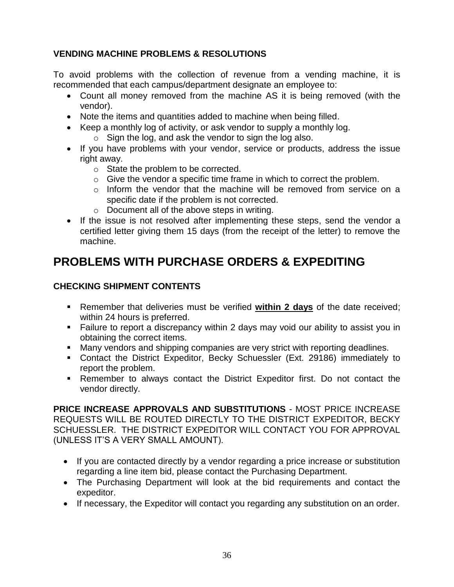# <span id="page-36-0"></span>**VENDING MACHINE PROBLEMS & RESOLUTIONS**

To avoid problems with the collection of revenue from a vending machine, it is recommended that each campus/department designate an employee to:

- Count all money removed from the machine AS it is being removed (with the vendor).
- Note the items and quantities added to machine when being filled.
- Keep a monthly log of activity, or ask vendor to supply a monthly log.
	- $\circ$  Sign the log, and ask the vendor to sign the log also.
- If you have problems with your vendor, service or products, address the issue right away.
	- o State the problem to be corrected.
	- $\circ$  Give the vendor a specific time frame in which to correct the problem.
	- $\circ$  Inform the vendor that the machine will be removed from service on a specific date if the problem is not corrected.
	- o Document all of the above steps in writing.
- If the issue is not resolved after implementing these steps, send the vendor a certified letter giving them 15 days (from the receipt of the letter) to remove the machine.

# <span id="page-36-1"></span>**PROBLEMS WITH PURCHASE ORDERS & EXPEDITING**

# **CHECKING SHIPMENT CONTENTS**

- Remember that deliveries must be verified **within 2 days** of the date received; within 24 hours is preferred.
- Failure to report a discrepancy within 2 days may void our ability to assist you in obtaining the correct items.
- Many vendors and shipping companies are very strict with reporting deadlines.
- Contact the District Expeditor, Becky Schuessler (Ext. 29186) immediately to report the problem.
- Remember to always contact the District Expeditor first. Do not contact the vendor directly.

**PRICE INCREASE APPROVALS AND SUBSTITUTIONS** - MOST PRICE INCREASE REQUESTS WILL BE ROUTED DIRECTLY TO THE DISTRICT EXPEDITOR, BECKY SCHUESSLER. THE DISTRICT EXPEDITOR WILL CONTACT YOU FOR APPROVAL (UNLESS IT'S A VERY SMALL AMOUNT).

- If you are contacted directly by a vendor regarding a price increase or substitution regarding a line item bid, please contact the Purchasing Department.
- The Purchasing Department will look at the bid requirements and contact the expeditor.
- If necessary, the Expeditor will contact you regarding any substitution on an order.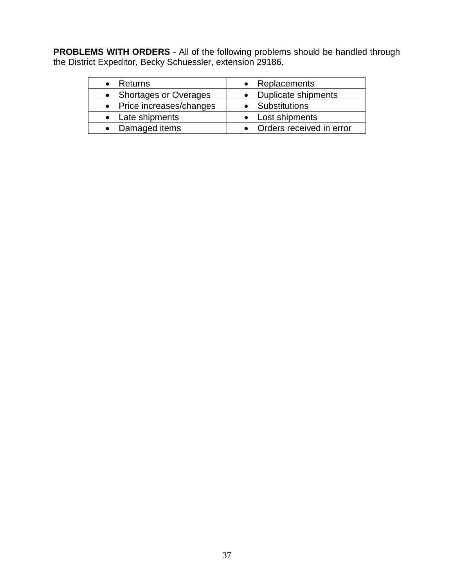**PROBLEMS WITH ORDERS** - All of the following problems should be handled through the District Expeditor, Becky Schuessler, extension 29186.

<span id="page-37-0"></span>

| • Returns                 | • Replacements             |
|---------------------------|----------------------------|
| • Shortages or Overages   | • Duplicate shipments      |
| • Price increases/changes | • Substitutions            |
| • Late shipments          | • Lost shipments           |
| • Damaged items           | • Orders received in error |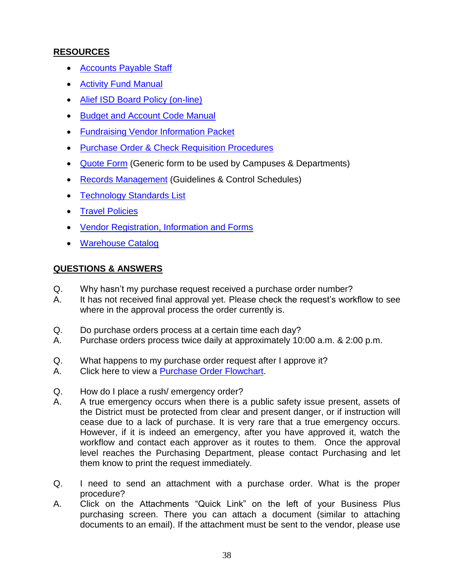# **RESOURCES**

- [Accounts Payable Staff](https://www.aliefisd.net/Page/5071)
- [Activity Fund Manual](https://www.aliefisd.net/Page/4173)
- [Alief ISD Board Policy \(on-line\)](http://pol.tasb.org/Home/Index/584)
- [Budget and Account Code Manual](https://www.aliefisd.net/Page/4177)
- [Fundraising Vendor Information Packet](#page-30-1)
- Purchase [Order & Check Requisition Procedures](#page-13-0)
- [Quote Form](https://www.aliefisd.net/cms/lib/TX01917308/Centricity/Domain/103/Alief%20ISD%20Interactive%20Quote%20Form.pdf) (Generic form to be used by Campuses & Departments)
- [Records Management](https://www.tsl.texas.gov/slrm/recordspubs/localretention.html) (Guidelines & Control Schedules)
- [Technology Standards List](https://www.aliefisd.net/Page/242)
- [Travel Policies](https://www.aliefisd.net/Page/5196)
- [Vendor Registration, Information and Forms](https://www.aliefisd.net/Page/9729)
- [Warehouse Catalog](https://www.aliefisd.net/Page/641)

# **QUESTIONS & ANSWERS**

- Q. Why hasn't my purchase request received a purchase order number?
- A. It has not received final approval yet. Please check the request's workflow to see where in the approval process the order currently is.
- Q. Do purchase orders process at a certain time each day?
- A. Purchase orders process twice daily at approximately 10:00 a.m. & 2:00 p.m.
- Q. What happens to my purchase order request after I approve it?
- A. Click here to view a [Purchase Order Flowchart.](http://www.aliefisd.net/res_view_folder.aspx?id=a8b59673-957b-474c-a7bc-61489ad39337&userGroupId=a7116725-ae62-46b4-9ba5-a170a890842f&userGroupType=G)
- Q. How do I place a rush/ emergency order?
- A. A true emergency occurs when there is a public safety issue present, assets of the District must be protected from clear and present danger, or if instruction will cease due to a lack of purchase. It is very rare that a true emergency occurs. However, if it is indeed an emergency, after you have approved it, watch the workflow and contact each approver as it routes to them. Once the approval level reaches the Purchasing Department, please contact Purchasing and let them know to print the request immediately.
- Q. I need to send an attachment with a purchase order. What is the proper procedure?
- A. Click on the Attachments "Quick Link" on the left of your Business Plus purchasing screen. There you can attach a document (similar to attaching documents to an email). If the attachment must be sent to the vendor, please use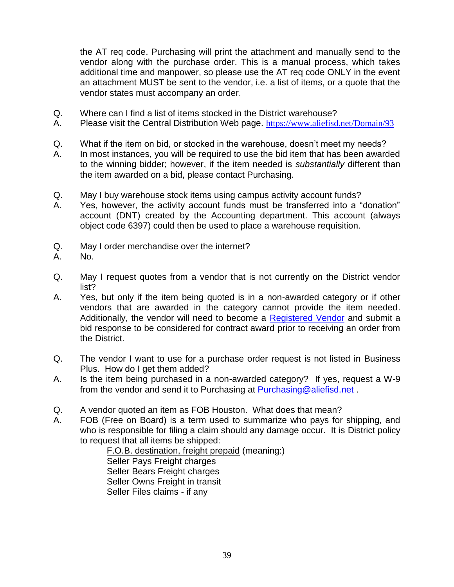the AT req code. Purchasing will print the attachment and manually send to the vendor along with the purchase order. This is a manual process, which takes additional time and manpower, so please use the AT req code ONLY in the event an attachment MUST be sent to the vendor, i.e. a list of items, or a quote that the vendor states must accompany an order.

- Q. Where can I find a list of items stocked in the District warehouse?
- A. Please visit the Central Distribution Web page. <https://www.aliefisd.net/Domain/93>
- Q. What if the item on bid, or stocked in the warehouse, doesn't meet my needs?
- A. In most instances, you will be required to use the bid item that has been awarded to the winning bidder; however, if the item needed is *substantially* different than the item awarded on a bid, please contact Purchasing.
- Q. May I buy warehouse stock items using campus activity account funds?
- A. Yes, however, the activity account funds must be transferred into a "donation" account (DNT) created by the Accounting department. This account (always object code 6397) could then be used to place a warehouse requisition.
- Q. May I order merchandise over the internet?
- A. No.
- Q. May I request quotes from a vendor that is not currently on the District vendor list?
- A. Yes, but only if the item being quoted is in a non-awarded category or if other vendors that are awarded in the category cannot provide the item needed. Additionally, the vendor will need to become a [Registered Vendor](#page-30-0) and submit a bid response to be considered for contract award prior to receiving an order from the District.
- Q. The vendor I want to use for a purchase order request is not listed in Business Plus. How do I get them added?
- A. Is the item being purchased in a non-awarded category? If yes, request a W-9 from the vendor and send it to Purchasing at **Purchasing@aliefisd.net**.
- Q. A vendor quoted an item as FOB Houston. What does that mean?
- A. FOB (Free on Board) is a term used to summarize who pays for shipping, and who is responsible for filing a claim should any damage occur. It is District policy to request that all items be shipped:

F.O.B. destination, freight prepaid (meaning:) Seller Pays Freight charges Seller Bears Freight charges Seller Owns Freight in transit Seller Files claims - if any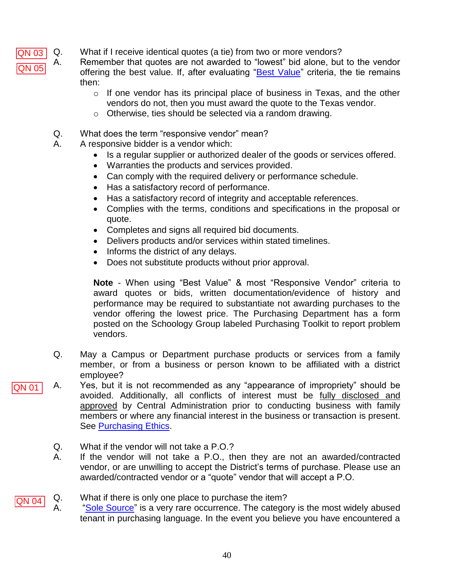Q. What if I receive identical quotes (a tie) from two or more vendors? QN 03

A. Remember that quotes are not awarded to "lowest" bid alone, but to the vendor offering the best value. If, after evaluating ["Best Value"](#page-33-0) criteria, the tie remains then:

- $\circ$  If one vendor has its principal place of business in Texas, and the other vendors do not, then you must award the quote to the Texas vendor.
- o Otherwise, ties should be selected via a random drawing.
- Q. What does the term "responsive vendor" mean?
- A. A responsive bidder is a vendor which:
	- Is a regular supplier or authorized dealer of the goods or services offered.
	- Warranties the products and services provided.
	- Can comply with the required delivery or performance schedule.
	- Has a satisfactory record of performance.
	- Has a satisfactory record of integrity and acceptable references.
	- Complies with the terms, conditions and specifications in the proposal or quote.
	- Completes and signs all required bid documents.
	- Delivers products and/or services within stated timelines.
	- $\bullet$  Informs the district of any delays.
	- Does not substitute products without prior approval.

**Note** - When using "Best Value" & most "Responsive Vendor" criteria to award quotes or bids, written documentation/evidence of history and performance may be required to substantiate not awarding purchases to the vendor offering the lowest price. The Purchasing Department has a form posted on the Schoology Group labeled Purchasing Toolkit to report problem vendors.

- Q. May a Campus or Department purchase products or services from a family member, or from a business or person known to be affiliated with a district employee?
- A. Yes, but it is not recommended as any "appearance of impropriety" should be avoided. Additionally, all conflicts of interest must be fully disclosed and approved by Central Administration prior to conducting business with family members or where any financial interest in the business or transaction is present. See [Purchasing Ethics.](#page-5-2) QN 05<br>2N 01<br>QN 04
	- Q. What if the vendor will not take a P.O.?
	- A. If the vendor will not take a P.O., then they are not an awarded/contracted vendor, or are unwilling to accept the District's terms of purchase. Please use an awarded/contracted vendor or a "quote" vendor that will accept a P.O.
- Q. What if there is only one place to purchase the item? **QN 04** A. ["Sole Source"](#page-33-1) is a very rare occurrence. The category is the most widely abused tenant in purchasing language. In the event you believe you have encountered a

QN 05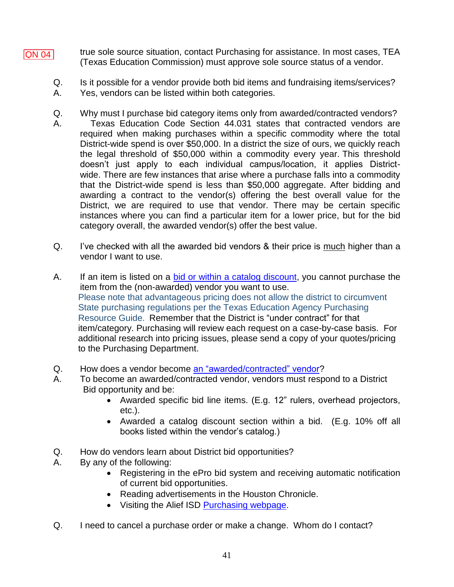- true sole source situation, contact Purchasing for assistance. In most cases, TEA (Texas Education Commission) must approve sole source status of a vendor. **QN 04** 
	- Q. Is it possible for a vendor provide both bid items and fundraising items/services?
	- A. Yes, vendors can be listed within both categories.
	- Q. Why must I purchase bid category items only from awarded/contracted vendors? A. Texas Education Code Section 44.031 states that contracted vendors are required when making purchases within a specific commodity where the total District-wide spend is over \$50,000. In a district the size of ours, we quickly reach the legal threshold of \$50,000 within a commodity every year. This threshold doesn't just apply to each individual campus/location, it applies Districtwide. There are few instances that arise where a purchase falls into a commodity that the District-wide spend is less than \$50,000 aggregate. After bidding and awarding a contract to the vendor(s) offering the best overall value for the District, we are required to use that vendor. There may be certain specific instances where you can find a particular item for a lower price, but for the bid category overall, the awarded vendor(s) offer the best value.
	- Q. I've checked with all the awarded bid vendors & their price is much higher than a vendor I want to use.
	- A. If an item is listed on a [bid or within a catalog discount,](#page-7-3) you cannot purchase the item from the (non-awarded) vendor you want to use. Please note that advantageous pricing does not allow the district to circumvent State purchasing regulations per the Texas Education Agency Purchasing Resource Guide. Remember that the District is "under contract" for that item/category. Purchasing will review each request on a case-by-case basis. For additional research into pricing issues, please send a copy of your quotes/pricing to the Purchasing Department.
	- Q. How does a vendor become [an "awarded/contracted" vendor?](#page-30-0)
	- A. To become an awarded/contracted vendor, vendors must respond to a District Bid opportunity and be:
		- Awarded specific bid line items. (E.g. 12" rulers, overhead projectors, etc.).
		- Awarded a catalog discount section within a bid. (E.g. 10% off all books listed within the vendor's catalog.)
	- Q. How do vendors learn about District bid opportunities?
	- A. By any of the following:
		- Registering in the ePro bid system and receiving automatic notification of current bid opportunities.
		- Reading advertisements in the Houston Chronicle.
		- Visiting the Alief ISD [Purchasing webpage.](https://www.aliefisd.net/Page/278)
	- Q. I need to cancel a purchase order or make a change. Whom do I contact?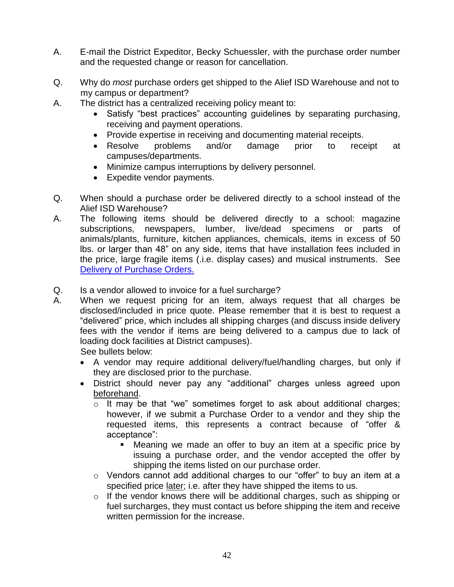- A. E-mail the District Expeditor, Becky Schuessler, with the purchase order number and the requested change or reason for cancellation.
- Q. Why do *most* purchase orders get shipped to the Alief ISD Warehouse and not to my campus or department?
- A. The district has a centralized receiving policy meant to:
	- Satisfy "best practices" accounting guidelines by separating purchasing, receiving and payment operations.
	- Provide expertise in receiving and documenting material receipts.
	- Resolve problems and/or damage prior to receipt at campuses/departments.
	- Minimize campus interruptions by delivery personnel.
	- Expedite vendor payments.
- Q. When should a purchase order be delivered directly to a school instead of the Alief ISD Warehouse?
- A. The following items should be delivered directly to a school: magazine subscriptions, newspapers, lumber, live/dead specimens or parts of animals/plants, furniture, kitchen appliances, chemicals, items in excess of 50 lbs. or larger than 48" on any side, items that have installation fees included in the price, large fragile items (.i.e. display cases) and musical instruments. See [Delivery of Purchase Orders.](#page-33-1)
- Q. Is a vendor allowed to invoice for a fuel surcharge?
- A. When we request pricing for an item, always request that all charges be disclosed/included in price quote. Please remember that it is best to request a "delivered" price, which includes all shipping charges (and discuss inside delivery fees with the vendor if items are being delivered to a campus due to lack of loading dock facilities at District campuses).

See bullets below:

- A vendor may require additional delivery/fuel/handling charges, but only if they are disclosed prior to the purchase.
- District should never pay any "additional" charges unless agreed upon beforehand.
	- o It may be that "we" sometimes forget to ask about additional charges; however, if we submit a Purchase Order to a vendor and they ship the requested items, this represents a contract because of "offer & acceptance":
		- Meaning we made an offer to buy an item at a specific price by issuing a purchase order, and the vendor accepted the offer by shipping the items listed on our purchase order.
	- o Vendors cannot add additional charges to our "offer" to buy an item at a specified price later; i.e. after they have shipped the items to us.
	- o If the vendor knows there will be additional charges, such as shipping or fuel surcharges, they must contact us before shipping the item and receive written permission for the increase.